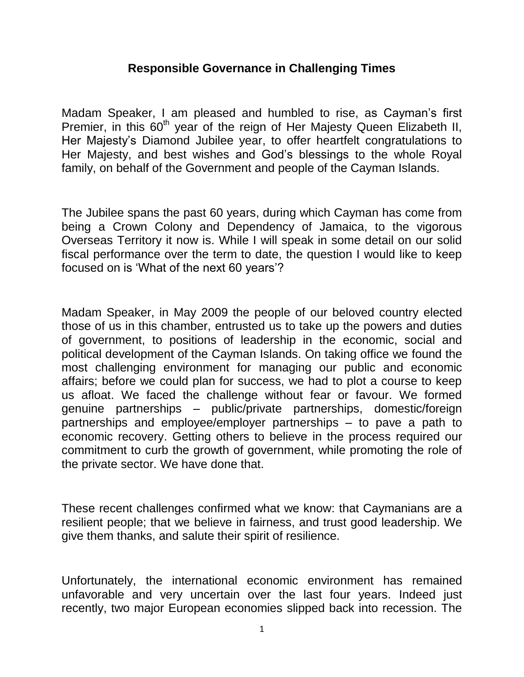#### **Responsible Governance in Challenging Times**

Madam Speaker, I am pleased and humbled to rise, as Cayman's first Premier, in this 60<sup>th</sup> year of the reign of Her Majesty Queen Elizabeth II, Her Majesty's Diamond Jubilee year, to offer heartfelt congratulations to Her Majesty, and best wishes and God's blessings to the whole Royal family, on behalf of the Government and people of the Cayman Islands.

The Jubilee spans the past 60 years, during which Cayman has come from being a Crown Colony and Dependency of Jamaica, to the vigorous Overseas Territory it now is. While I will speak in some detail on our solid fiscal performance over the term to date, the question I would like to keep focused on is 'What of the next 60 years'?

Madam Speaker, in May 2009 the people of our beloved country elected those of us in this chamber, entrusted us to take up the powers and duties of government, to positions of leadership in the economic, social and political development of the Cayman Islands. On taking office we found the most challenging environment for managing our public and economic affairs; before we could plan for success, we had to plot a course to keep us afloat. We faced the challenge without fear or favour. We formed genuine partnerships – public/private partnerships, domestic/foreign partnerships and employee/employer partnerships – to pave a path to economic recovery. Getting others to believe in the process required our commitment to curb the growth of government, while promoting the role of the private sector. We have done that.

These recent challenges confirmed what we know: that Caymanians are a resilient people; that we believe in fairness, and trust good leadership. We give them thanks, and salute their spirit of resilience.

Unfortunately, the international economic environment has remained unfavorable and very uncertain over the last four years. Indeed just recently, two major European economies slipped back into recession. The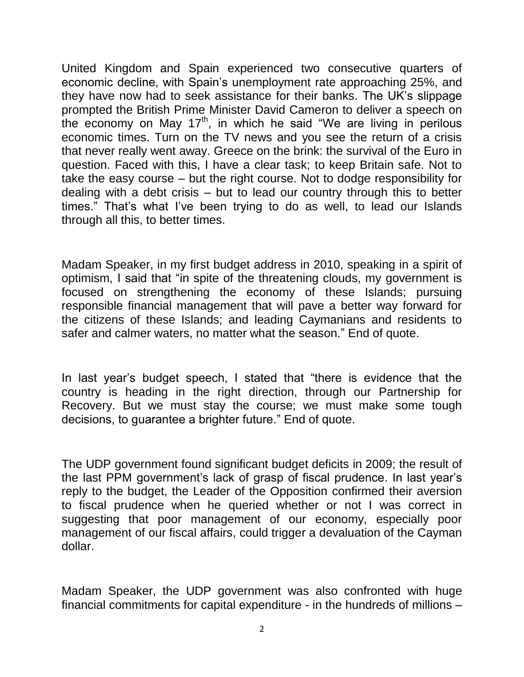United Kingdom and Spain experienced two consecutive quarters of economic decline, with Spain's unemployment rate approaching 25%, and they have now had to seek assistance for their banks. The UK's slippage prompted the British Prime Minister David Cameron to deliver a speech on the economy on May 17<sup>th</sup>, in which he said "We are living in perilous economic times. Turn on the TV news and you see the return of a crisis that never really went away. Greece on the brink: the survival of the Euro in question. Faced with this, I have a clear task; to keep Britain safe. Not to take the easy course – but the right course. Not to dodge responsibility for dealing with a debt crisis – but to lead our country through this to better times." That's what I've been trying to do as well, to lead our Islands through all this, to better times.

Madam Speaker, in my first budget address in 2010, speaking in a spirit of optimism, I said that "in spite of the threatening clouds, my government is focused on strengthening the economy of these Islands; pursuing responsible financial management that will pave a better way forward for the citizens of these Islands; and leading Caymanians and residents to safer and calmer waters, no matter what the season." End of quote.

In last year's budget speech, I stated that "there is evidence that the country is heading in the right direction, through our Partnership for Recovery. But we must stay the course; we must make some tough decisions, to guarantee a brighter future." End of quote.

The UDP government found significant budget deficits in 2009; the result of the last PPM government's lack of grasp of fiscal prudence. In last year's reply to the budget, the Leader of the Opposition confirmed their aversion to fiscal prudence when he queried whether or not I was correct in suggesting that poor management of our economy, especially poor management of our fiscal affairs, could trigger a devaluation of the Cayman dollar.

Madam Speaker, the UDP government was also confronted with huge financial commitments for capital expenditure - in the hundreds of millions –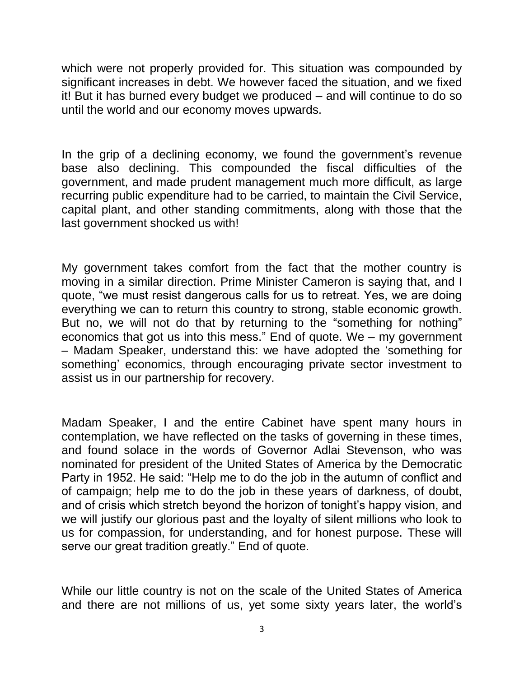which were not properly provided for. This situation was compounded by significant increases in debt. We however faced the situation, and we fixed it! But it has burned every budget we produced – and will continue to do so until the world and our economy moves upwards.

In the grip of a declining economy, we found the government's revenue base also declining. This compounded the fiscal difficulties of the government, and made prudent management much more difficult, as large recurring public expenditure had to be carried, to maintain the Civil Service, capital plant, and other standing commitments, along with those that the last government shocked us with!

My government takes comfort from the fact that the mother country is moving in a similar direction. Prime Minister Cameron is saying that, and I quote, "we must resist dangerous calls for us to retreat. Yes, we are doing everything we can to return this country to strong, stable economic growth. But no, we will not do that by returning to the "something for nothing" economics that got us into this mess." End of quote. We – my government – Madam Speaker, understand this: we have adopted the 'something for something' economics, through encouraging private sector investment to assist us in our partnership for recovery.

Madam Speaker, I and the entire Cabinet have spent many hours in contemplation, we have reflected on the tasks of governing in these times, and found solace in the words of Governor Adlai Stevenson, who was nominated for president of the United States of America by the Democratic Party in 1952. He said: "Help me to do the job in the autumn of conflict and of campaign; help me to do the job in these years of darkness, of doubt, and of crisis which stretch beyond the horizon of tonight's happy vision, and we will justify our glorious past and the loyalty of silent millions who look to us for compassion, for understanding, and for honest purpose. These will serve our great tradition greatly." End of quote.

While our little country is not on the scale of the United States of America and there are not millions of us, yet some sixty years later, the world's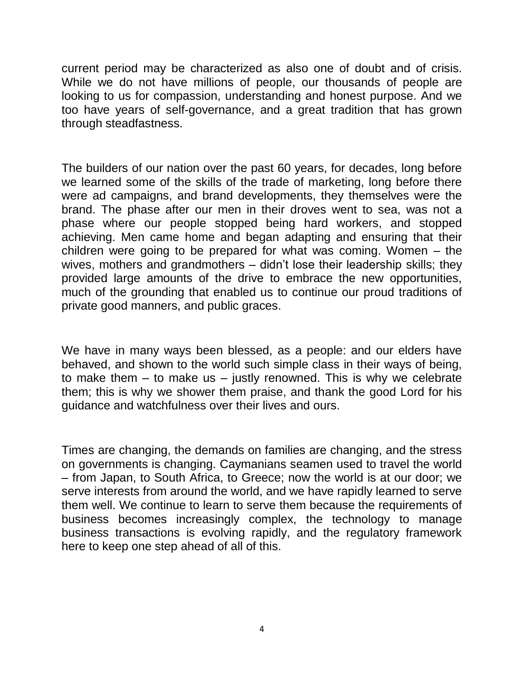current period may be characterized as also one of doubt and of crisis. While we do not have millions of people, our thousands of people are looking to us for compassion, understanding and honest purpose. And we too have years of self-governance, and a great tradition that has grown through steadfastness.

The builders of our nation over the past 60 years, for decades, long before we learned some of the skills of the trade of marketing, long before there were ad campaigns, and brand developments, they themselves were the brand. The phase after our men in their droves went to sea, was not a phase where our people stopped being hard workers, and stopped achieving. Men came home and began adapting and ensuring that their children were going to be prepared for what was coming. Women – the wives, mothers and grandmothers – didn't lose their leadership skills; they provided large amounts of the drive to embrace the new opportunities, much of the grounding that enabled us to continue our proud traditions of private good manners, and public graces.

We have in many ways been blessed, as a people: and our elders have behaved, and shown to the world such simple class in their ways of being, to make them  $-$  to make us  $-$  justly renowned. This is why we celebrate them; this is why we shower them praise, and thank the good Lord for his guidance and watchfulness over their lives and ours.

Times are changing, the demands on families are changing, and the stress on governments is changing. Caymanians seamen used to travel the world – from Japan, to South Africa, to Greece; now the world is at our door; we serve interests from around the world, and we have rapidly learned to serve them well. We continue to learn to serve them because the requirements of business becomes increasingly complex, the technology to manage business transactions is evolving rapidly, and the regulatory framework here to keep one step ahead of all of this.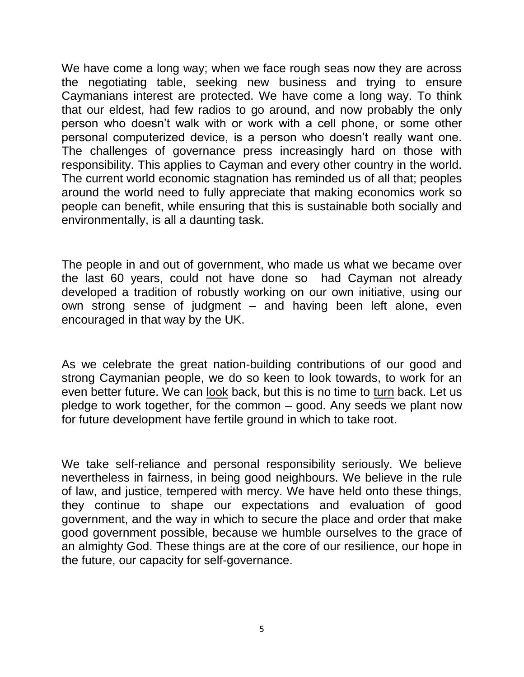We have come a long way; when we face rough seas now they are across the negotiating table, seeking new business and trying to ensure Caymanians interest are protected. We have come a long way. To think that our eldest, had few radios to go around, and now probably the only person who doesn't walk with or work with a cell phone, or some other personal computerized device, is a person who doesn't really want one. The challenges of governance press increasingly hard on those with responsibility. This applies to Cayman and every other country in the world. The current world economic stagnation has reminded us of all that; peoples around the world need to fully appreciate that making economics work so people can benefit, while ensuring that this is sustainable both socially and environmentally, is all a daunting task.

The people in and out of government, who made us what we became over the last 60 years, could not have done so had Cayman not already developed a tradition of robustly working on our own initiative, using our own strong sense of judgment – and having been left alone, even encouraged in that way by the UK.

As we celebrate the great nation-building contributions of our good and strong Caymanian people, we do so keen to look towards, to work for an even better future. We can look back, but this is no time to turn back. Let us pledge to work together, for the common – good. Any seeds we plant now for future development have fertile ground in which to take root.

We take self-reliance and personal responsibility seriously. We believe nevertheless in fairness, in being good neighbours. We believe in the rule of law, and justice, tempered with mercy. We have held onto these things, they continue to shape our expectations and evaluation of good government, and the way in which to secure the place and order that make good government possible, because we humble ourselves to the grace of an almighty God. These things are at the core of our resilience, our hope in the future, our capacity for self-governance.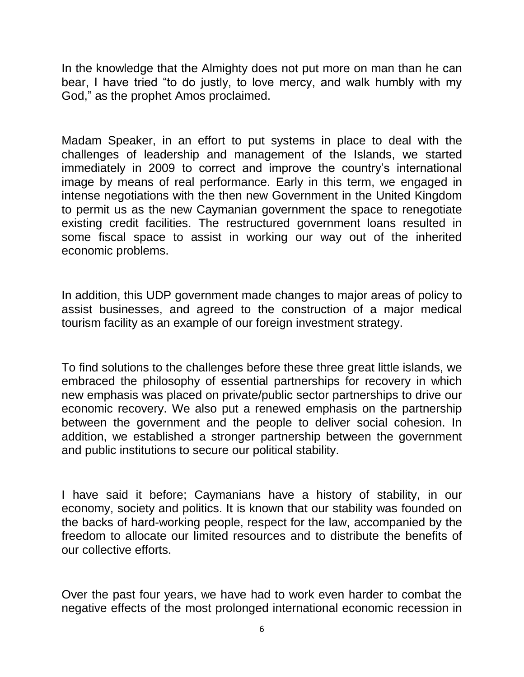In the knowledge that the Almighty does not put more on man than he can bear, I have tried "to do justly, to love mercy, and walk humbly with my God," as the prophet Amos proclaimed.

Madam Speaker, in an effort to put systems in place to deal with the challenges of leadership and management of the Islands, we started immediately in 2009 to correct and improve the country's international image by means of real performance. Early in this term, we engaged in intense negotiations with the then new Government in the United Kingdom to permit us as the new Caymanian government the space to renegotiate existing credit facilities. The restructured government loans resulted in some fiscal space to assist in working our way out of the inherited economic problems.

In addition, this UDP government made changes to major areas of policy to assist businesses, and agreed to the construction of a major medical tourism facility as an example of our foreign investment strategy.

To find solutions to the challenges before these three great little islands, we embraced the philosophy of essential partnerships for recovery in which new emphasis was placed on private/public sector partnerships to drive our economic recovery. We also put a renewed emphasis on the partnership between the government and the people to deliver social cohesion. In addition, we established a stronger partnership between the government and public institutions to secure our political stability.

I have said it before; Caymanians have a history of stability, in our economy, society and politics. It is known that our stability was founded on the backs of hard-working people, respect for the law, accompanied by the freedom to allocate our limited resources and to distribute the benefits of our collective efforts.

Over the past four years, we have had to work even harder to combat the negative effects of the most prolonged international economic recession in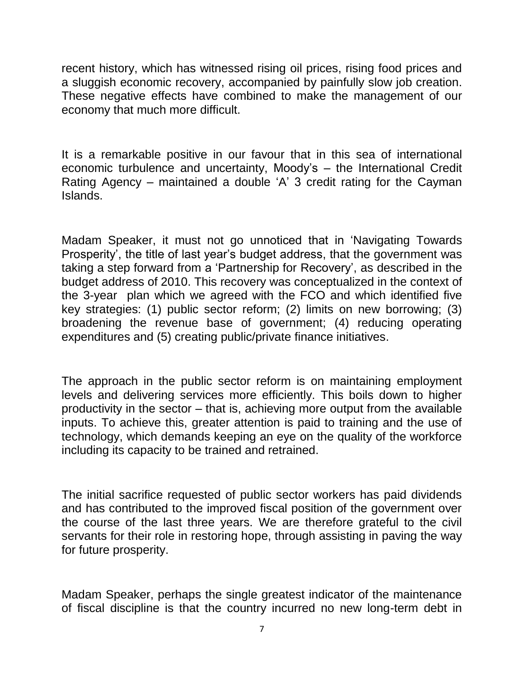recent history, which has witnessed rising oil prices, rising food prices and a sluggish economic recovery, accompanied by painfully slow job creation. These negative effects have combined to make the management of our economy that much more difficult.

It is a remarkable positive in our favour that in this sea of international economic turbulence and uncertainty, Moody's – the International Credit Rating Agency – maintained a double 'A' 3 credit rating for the Cayman Islands.

Madam Speaker, it must not go unnoticed that in 'Navigating Towards Prosperity', the title of last year's budget address, that the government was taking a step forward from a 'Partnership for Recovery', as described in the budget address of 2010. This recovery was conceptualized in the context of the 3-year plan which we agreed with the FCO and which identified five key strategies: (1) public sector reform; (2) limits on new borrowing; (3) broadening the revenue base of government; (4) reducing operating expenditures and (5) creating public/private finance initiatives.

The approach in the public sector reform is on maintaining employment levels and delivering services more efficiently. This boils down to higher productivity in the sector – that is, achieving more output from the available inputs. To achieve this, greater attention is paid to training and the use of technology, which demands keeping an eye on the quality of the workforce including its capacity to be trained and retrained.

The initial sacrifice requested of public sector workers has paid dividends and has contributed to the improved fiscal position of the government over the course of the last three years. We are therefore grateful to the civil servants for their role in restoring hope, through assisting in paving the way for future prosperity.

Madam Speaker, perhaps the single greatest indicator of the maintenance of fiscal discipline is that the country incurred no new long-term debt in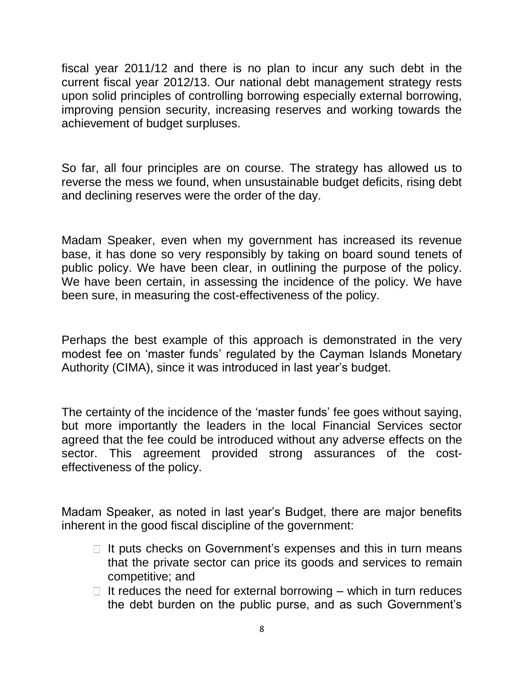fiscal year 2011/12 and there is no plan to incur any such debt in the current fiscal year 2012/13. Our national debt management strategy rests upon solid principles of controlling borrowing especially external borrowing, improving pension security, increasing reserves and working towards the achievement of budget surpluses.

So far, all four principles are on course. The strategy has allowed us to reverse the mess we found, when unsustainable budget deficits, rising debt and declining reserves were the order of the day.

Madam Speaker, even when my government has increased its revenue base, it has done so very responsibly by taking on board sound tenets of public policy. We have been clear, in outlining the purpose of the policy. We have been certain, in assessing the incidence of the policy. We have been sure, in measuring the cost-effectiveness of the policy.

Perhaps the best example of this approach is demonstrated in the very modest fee on 'master funds' regulated by the Cayman Islands Monetary Authority (CIMA), since it was introduced in last year's budget.

The certainty of the incidence of the 'master funds' fee goes without saying, but more importantly the leaders in the local Financial Services sector agreed that the fee could be introduced without any adverse effects on the sector. This agreement provided strong assurances of the costeffectiveness of the policy.

Madam Speaker, as noted in last year's Budget, there are major benefits inherent in the good fiscal discipline of the government:

- $\Box$  It puts checks on Government's expenses and this in turn means that the private sector can price its goods and services to remain competitive; and
- $\Box$  It reduces the need for external borrowing which in turn reduces the debt burden on the public purse, and as such Government's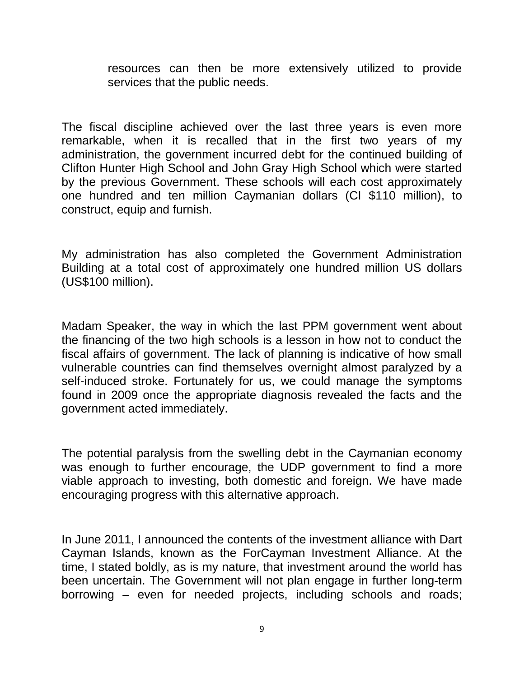resources can then be more extensively utilized to provide services that the public needs.

The fiscal discipline achieved over the last three years is even more remarkable, when it is recalled that in the first two years of my administration, the government incurred debt for the continued building of Clifton Hunter High School and John Gray High School which were started by the previous Government. These schools will each cost approximately one hundred and ten million Caymanian dollars (CI \$110 million), to construct, equip and furnish.

My administration has also completed the Government Administration Building at a total cost of approximately one hundred million US dollars (US\$100 million).

Madam Speaker, the way in which the last PPM government went about the financing of the two high schools is a lesson in how not to conduct the fiscal affairs of government. The lack of planning is indicative of how small vulnerable countries can find themselves overnight almost paralyzed by a self-induced stroke. Fortunately for us, we could manage the symptoms found in 2009 once the appropriate diagnosis revealed the facts and the government acted immediately.

The potential paralysis from the swelling debt in the Caymanian economy was enough to further encourage, the UDP government to find a more viable approach to investing, both domestic and foreign. We have made encouraging progress with this alternative approach.

In June 2011, I announced the contents of the investment alliance with Dart Cayman Islands, known as the ForCayman Investment Alliance. At the time, I stated boldly, as is my nature, that investment around the world has been uncertain. The Government will not plan engage in further long-term borrowing – even for needed projects, including schools and roads;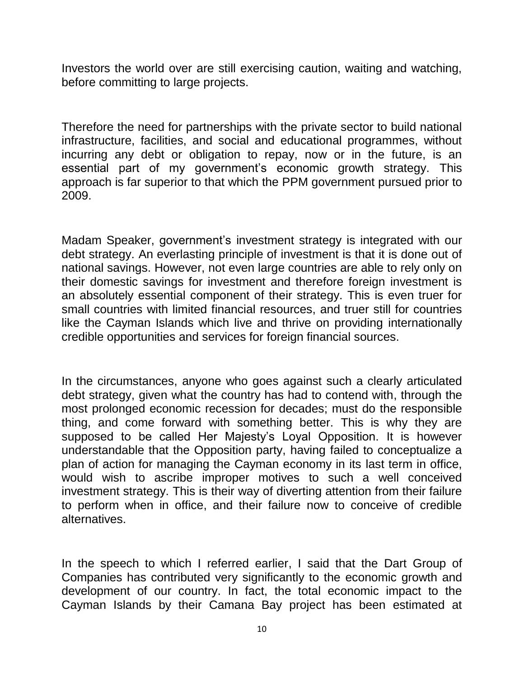Investors the world over are still exercising caution, waiting and watching, before committing to large projects.

Therefore the need for partnerships with the private sector to build national infrastructure, facilities, and social and educational programmes, without incurring any debt or obligation to repay, now or in the future, is an essential part of my government's economic growth strategy. This approach is far superior to that which the PPM government pursued prior to 2009.

Madam Speaker, government's investment strategy is integrated with our debt strategy. An everlasting principle of investment is that it is done out of national savings. However, not even large countries are able to rely only on their domestic savings for investment and therefore foreign investment is an absolutely essential component of their strategy. This is even truer for small countries with limited financial resources, and truer still for countries like the Cayman Islands which live and thrive on providing internationally credible opportunities and services for foreign financial sources.

In the circumstances, anyone who goes against such a clearly articulated debt strategy, given what the country has had to contend with, through the most prolonged economic recession for decades; must do the responsible thing, and come forward with something better. This is why they are supposed to be called Her Majesty's Loyal Opposition. It is however understandable that the Opposition party, having failed to conceptualize a plan of action for managing the Cayman economy in its last term in office, would wish to ascribe improper motives to such a well conceived investment strategy. This is their way of diverting attention from their failure to perform when in office, and their failure now to conceive of credible alternatives.

In the speech to which I referred earlier, I said that the Dart Group of Companies has contributed very significantly to the economic growth and development of our country. In fact, the total economic impact to the Cayman Islands by their Camana Bay project has been estimated at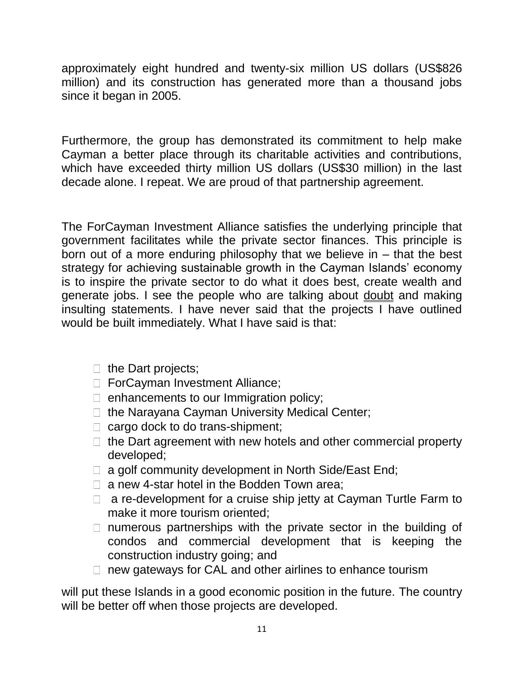approximately eight hundred and twenty-six million US dollars (US\$826 million) and its construction has generated more than a thousand jobs since it began in 2005.

Furthermore, the group has demonstrated its commitment to help make Cayman a better place through its charitable activities and contributions, which have exceeded thirty million US dollars (US\$30 million) in the last decade alone. I repeat. We are proud of that partnership agreement.

The ForCayman Investment Alliance satisfies the underlying principle that government facilitates while the private sector finances. This principle is born out of a more enduring philosophy that we believe in – that the best strategy for achieving sustainable growth in the Cayman Islands' economy is to inspire the private sector to do what it does best, create wealth and generate jobs. I see the people who are talking about doubt and making insulting statements. I have never said that the projects I have outlined would be built immediately. What I have said is that:

- $\Box$  the Dart projects;
- □ ForCayman Investment Alliance;
- $\Box$  enhancements to our Immigration policy;
- $\Box$  the Narayana Cayman University Medical Center;
- $\Box$  cargo dock to do trans-shipment;
- $\Box$  the Dart agreement with new hotels and other commercial property developed;
- $\Box$  a golf community development in North Side/East End;
- $\Box$  a new 4-star hotel in the Bodden Town area;
- $\Box$  a re-development for a cruise ship jetty at Cayman Turtle Farm to make it more tourism oriented;
- $\Box$  numerous partnerships with the private sector in the building of condos and commercial development that is keeping the construction industry going; and
- $\Box$  new gateways for CAL and other airlines to enhance tourism

will put these Islands in a good economic position in the future. The country will be better off when those projects are developed.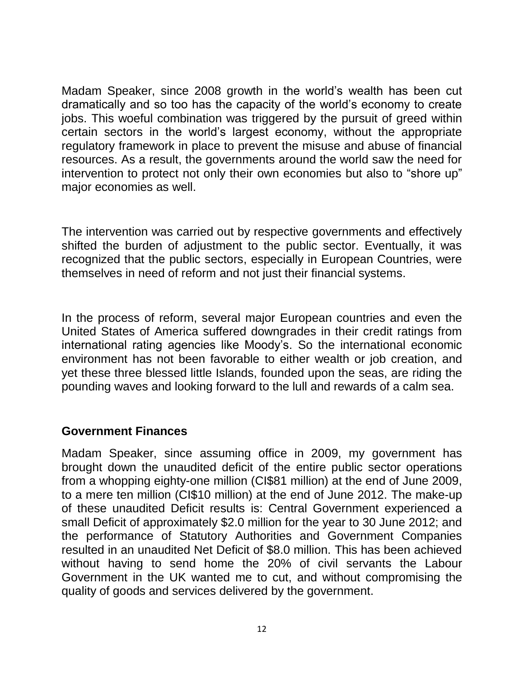Madam Speaker, since 2008 growth in the world's wealth has been cut dramatically and so too has the capacity of the world's economy to create jobs. This woeful combination was triggered by the pursuit of greed within certain sectors in the world's largest economy, without the appropriate regulatory framework in place to prevent the misuse and abuse of financial resources. As a result, the governments around the world saw the need for intervention to protect not only their own economies but also to "shore up" major economies as well.

The intervention was carried out by respective governments and effectively shifted the burden of adjustment to the public sector. Eventually, it was recognized that the public sectors, especially in European Countries, were themselves in need of reform and not just their financial systems.

In the process of reform, several major European countries and even the United States of America suffered downgrades in their credit ratings from international rating agencies like Moody's. So the international economic environment has not been favorable to either wealth or job creation, and yet these three blessed little Islands, founded upon the seas, are riding the pounding waves and looking forward to the lull and rewards of a calm sea.

### **Government Finances**

Madam Speaker, since assuming office in 2009, my government has brought down the unaudited deficit of the entire public sector operations from a whopping eighty-one million (CI\$81 million) at the end of June 2009, to a mere ten million (CI\$10 million) at the end of June 2012. The make-up of these unaudited Deficit results is: Central Government experienced a small Deficit of approximately \$2.0 million for the year to 30 June 2012; and the performance of Statutory Authorities and Government Companies resulted in an unaudited Net Deficit of \$8.0 million. This has been achieved without having to send home the 20% of civil servants the Labour Government in the UK wanted me to cut, and without compromising the quality of goods and services delivered by the government.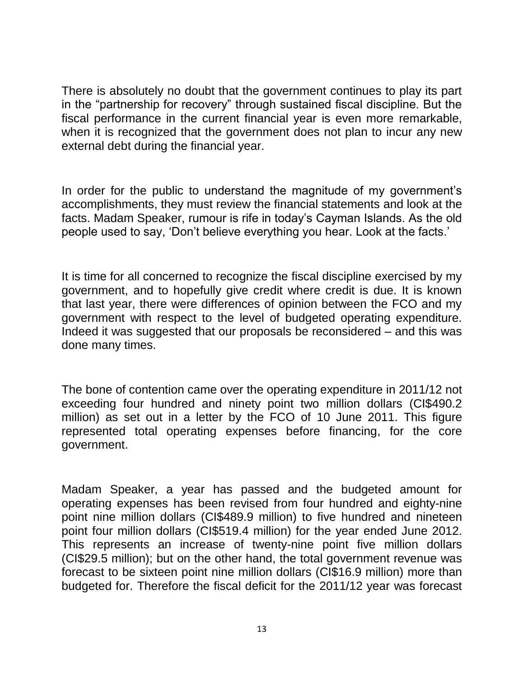There is absolutely no doubt that the government continues to play its part in the "partnership for recovery" through sustained fiscal discipline. But the fiscal performance in the current financial year is even more remarkable, when it is recognized that the government does not plan to incur any new external debt during the financial year.

In order for the public to understand the magnitude of my government's accomplishments, they must review the financial statements and look at the facts. Madam Speaker, rumour is rife in today's Cayman Islands. As the old people used to say, 'Don't believe everything you hear. Look at the facts.'

It is time for all concerned to recognize the fiscal discipline exercised by my government, and to hopefully give credit where credit is due. It is known that last year, there were differences of opinion between the FCO and my government with respect to the level of budgeted operating expenditure. Indeed it was suggested that our proposals be reconsidered – and this was done many times.

The bone of contention came over the operating expenditure in 2011/12 not exceeding four hundred and ninety point two million dollars (CI\$490.2 million) as set out in a letter by the FCO of 10 June 2011. This figure represented total operating expenses before financing, for the core government.

Madam Speaker, a year has passed and the budgeted amount for operating expenses has been revised from four hundred and eighty-nine point nine million dollars (CI\$489.9 million) to five hundred and nineteen point four million dollars (CI\$519.4 million) for the year ended June 2012. This represents an increase of twenty-nine point five million dollars (CI\$29.5 million); but on the other hand, the total government revenue was forecast to be sixteen point nine million dollars (CI\$16.9 million) more than budgeted for. Therefore the fiscal deficit for the 2011/12 year was forecast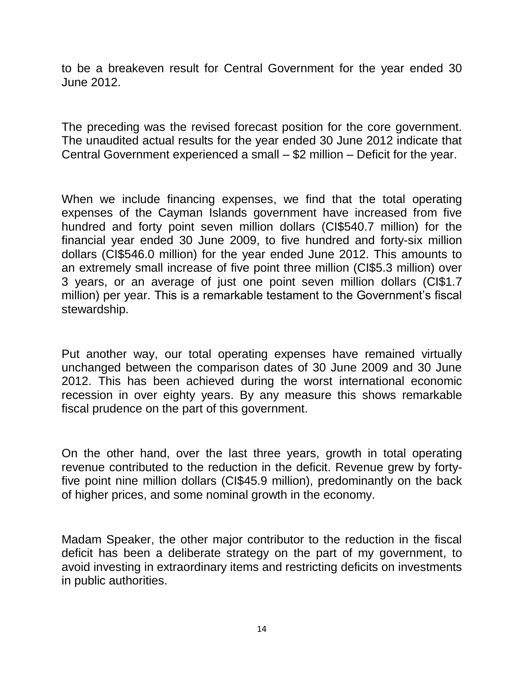to be a breakeven result for Central Government for the year ended 30 June 2012.

The preceding was the revised forecast position for the core government. The unaudited actual results for the year ended 30 June 2012 indicate that Central Government experienced a small – \$2 million – Deficit for the year.

When we include financing expenses, we find that the total operating expenses of the Cayman Islands government have increased from five hundred and forty point seven million dollars (CI\$540.7 million) for the financial year ended 30 June 2009, to five hundred and forty-six million dollars (CI\$546.0 million) for the year ended June 2012. This amounts to an extremely small increase of five point three million (CI\$5.3 million) over 3 years, or an average of just one point seven million dollars (CI\$1.7 million) per year. This is a remarkable testament to the Government's fiscal stewardship.

Put another way, our total operating expenses have remained virtually unchanged between the comparison dates of 30 June 2009 and 30 June 2012. This has been achieved during the worst international economic recession in over eighty years. By any measure this shows remarkable fiscal prudence on the part of this government.

On the other hand, over the last three years, growth in total operating revenue contributed to the reduction in the deficit. Revenue grew by fortyfive point nine million dollars (CI\$45.9 million), predominantly on the back of higher prices, and some nominal growth in the economy.

Madam Speaker, the other major contributor to the reduction in the fiscal deficit has been a deliberate strategy on the part of my government, to avoid investing in extraordinary items and restricting deficits on investments in public authorities.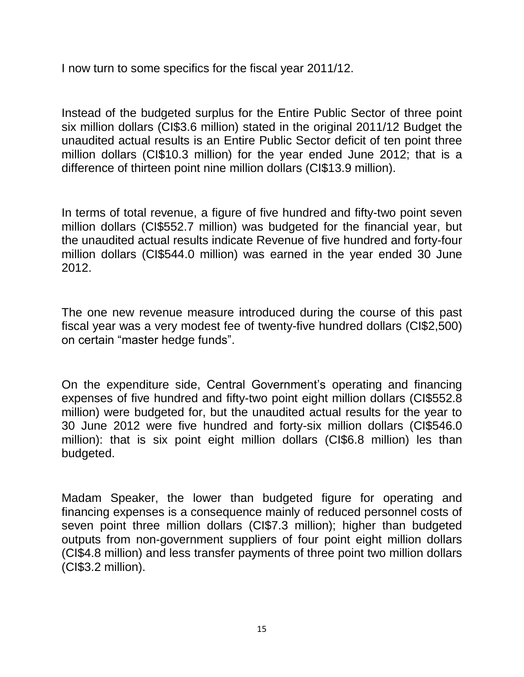I now turn to some specifics for the fiscal year 2011/12.

Instead of the budgeted surplus for the Entire Public Sector of three point six million dollars (CI\$3.6 million) stated in the original 2011/12 Budget the unaudited actual results is an Entire Public Sector deficit of ten point three million dollars (CI\$10.3 million) for the year ended June 2012; that is a difference of thirteen point nine million dollars (CI\$13.9 million).

In terms of total revenue, a figure of five hundred and fifty-two point seven million dollars (CI\$552.7 million) was budgeted for the financial year, but the unaudited actual results indicate Revenue of five hundred and forty-four million dollars (CI\$544.0 million) was earned in the year ended 30 June 2012.

The one new revenue measure introduced during the course of this past fiscal year was a very modest fee of twenty-five hundred dollars (CI\$2,500) on certain "master hedge funds".

On the expenditure side, Central Government's operating and financing expenses of five hundred and fifty-two point eight million dollars (CI\$552.8 million) were budgeted for, but the unaudited actual results for the year to 30 June 2012 were five hundred and forty-six million dollars (CI\$546.0 million): that is six point eight million dollars (CI\$6.8 million) les than budgeted.

Madam Speaker, the lower than budgeted figure for operating and financing expenses is a consequence mainly of reduced personnel costs of seven point three million dollars (CI\$7.3 million); higher than budgeted outputs from non-government suppliers of four point eight million dollars (CI\$4.8 million) and less transfer payments of three point two million dollars (CI\$3.2 million).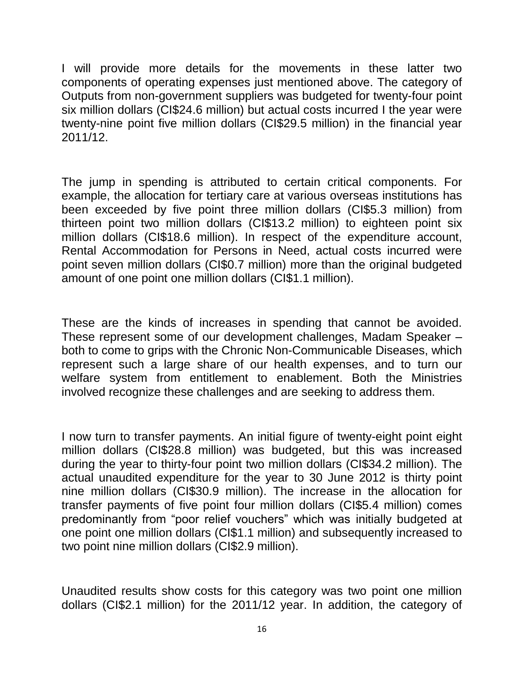I will provide more details for the movements in these latter two components of operating expenses just mentioned above. The category of Outputs from non-government suppliers was budgeted for twenty-four point six million dollars (CI\$24.6 million) but actual costs incurred I the year were twenty-nine point five million dollars (CI\$29.5 million) in the financial year 2011/12.

The jump in spending is attributed to certain critical components. For example, the allocation for tertiary care at various overseas institutions has been exceeded by five point three million dollars (CI\$5.3 million) from thirteen point two million dollars (CI\$13.2 million) to eighteen point six million dollars (CI\$18.6 million). In respect of the expenditure account, Rental Accommodation for Persons in Need, actual costs incurred were point seven million dollars (CI\$0.7 million) more than the original budgeted amount of one point one million dollars (CI\$1.1 million).

These are the kinds of increases in spending that cannot be avoided. These represent some of our development challenges, Madam Speaker – both to come to grips with the Chronic Non-Communicable Diseases, which represent such a large share of our health expenses, and to turn our welfare system from entitlement to enablement. Both the Ministries involved recognize these challenges and are seeking to address them.

I now turn to transfer payments. An initial figure of twenty-eight point eight million dollars (CI\$28.8 million) was budgeted, but this was increased during the year to thirty-four point two million dollars (CI\$34.2 million). The actual unaudited expenditure for the year to 30 June 2012 is thirty point nine million dollars (CI\$30.9 million). The increase in the allocation for transfer payments of five point four million dollars (CI\$5.4 million) comes predominantly from "poor relief vouchers" which was initially budgeted at one point one million dollars (CI\$1.1 million) and subsequently increased to two point nine million dollars (CI\$2.9 million).

Unaudited results show costs for this category was two point one million dollars (CI\$2.1 million) for the 2011/12 year. In addition, the category of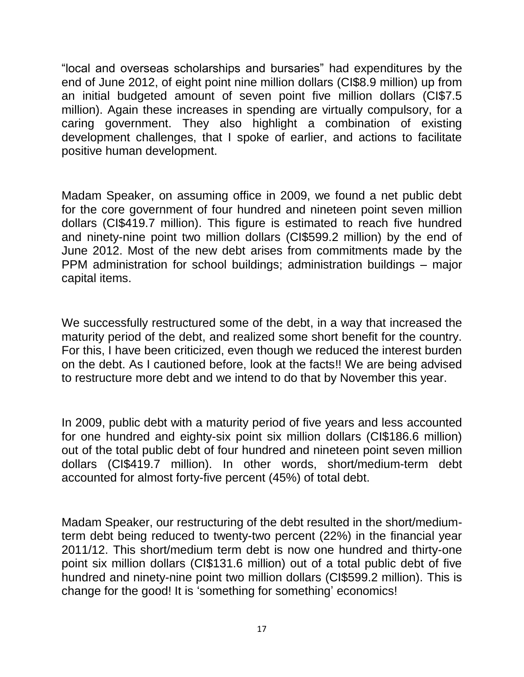"local and overseas scholarships and bursaries" had expenditures by the end of June 2012, of eight point nine million dollars (CI\$8.9 million) up from an initial budgeted amount of seven point five million dollars (CI\$7.5 million). Again these increases in spending are virtually compulsory, for a caring government. They also highlight a combination of existing development challenges, that I spoke of earlier, and actions to facilitate positive human development.

Madam Speaker, on assuming office in 2009, we found a net public debt for the core government of four hundred and nineteen point seven million dollars (CI\$419.7 million). This figure is estimated to reach five hundred and ninety-nine point two million dollars (CI\$599.2 million) by the end of June 2012. Most of the new debt arises from commitments made by the PPM administration for school buildings; administration buildings – major capital items.

We successfully restructured some of the debt, in a way that increased the maturity period of the debt, and realized some short benefit for the country. For this, I have been criticized, even though we reduced the interest burden on the debt. As I cautioned before, look at the facts!! We are being advised to restructure more debt and we intend to do that by November this year.

In 2009, public debt with a maturity period of five years and less accounted for one hundred and eighty-six point six million dollars (CI\$186.6 million) out of the total public debt of four hundred and nineteen point seven million dollars (CI\$419.7 million). In other words, short/medium-term debt accounted for almost forty-five percent (45%) of total debt.

Madam Speaker, our restructuring of the debt resulted in the short/mediumterm debt being reduced to twenty-two percent (22%) in the financial year 2011/12. This short/medium term debt is now one hundred and thirty-one point six million dollars (CI\$131.6 million) out of a total public debt of five hundred and ninety-nine point two million dollars (CI\$599.2 million). This is change for the good! It is 'something for something' economics!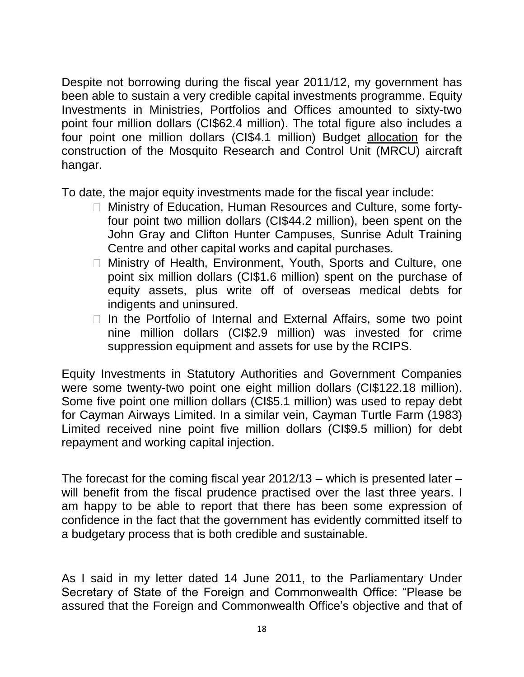Despite not borrowing during the fiscal year 2011/12, my government has been able to sustain a very credible capital investments programme. Equity Investments in Ministries, Portfolios and Offices amounted to sixty-two point four million dollars (CI\$62.4 million). The total figure also includes a four point one million dollars (CI\$4.1 million) Budget allocation for the construction of the Mosquito Research and Control Unit (MRCU) aircraft hangar.

To date, the major equity investments made for the fiscal year include:

- Ministry of Education, Human Resources and Culture, some fortyfour point two million dollars (CI\$44.2 million), been spent on the John Gray and Clifton Hunter Campuses, Sunrise Adult Training Centre and other capital works and capital purchases.
- Ministry of Health, Environment, Youth, Sports and Culture, one point six million dollars (CI\$1.6 million) spent on the purchase of equity assets, plus write off of overseas medical debts for indigents and uninsured.
- $\Box$  In the Portfolio of Internal and External Affairs, some two point nine million dollars (CI\$2.9 million) was invested for crime suppression equipment and assets for use by the RCIPS.

Equity Investments in Statutory Authorities and Government Companies were some twenty-two point one eight million dollars (CI\$122.18 million). Some five point one million dollars (CI\$5.1 million) was used to repay debt for Cayman Airways Limited. In a similar vein, Cayman Turtle Farm (1983) Limited received nine point five million dollars (CI\$9.5 million) for debt repayment and working capital injection.

The forecast for the coming fiscal year 2012/13 – which is presented later – will benefit from the fiscal prudence practised over the last three years. I am happy to be able to report that there has been some expression of confidence in the fact that the government has evidently committed itself to a budgetary process that is both credible and sustainable.

As I said in my letter dated 14 June 2011, to the Parliamentary Under Secretary of State of the Foreign and Commonwealth Office: "Please be assured that the Foreign and Commonwealth Office's objective and that of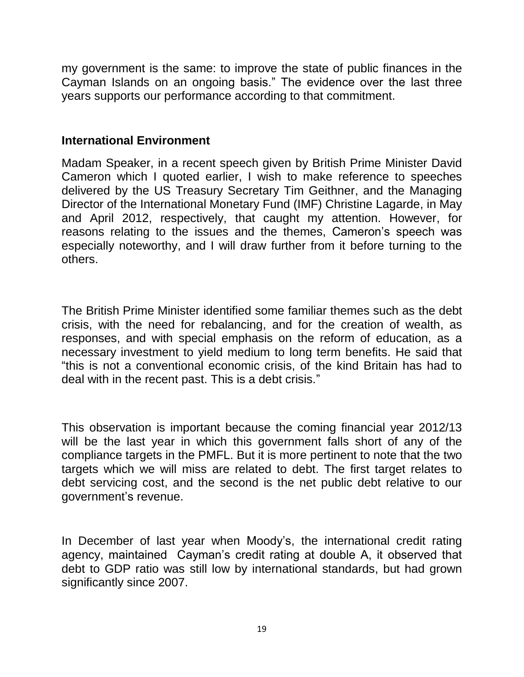my government is the same: to improve the state of public finances in the Cayman Islands on an ongoing basis." The evidence over the last three years supports our performance according to that commitment.

#### **International Environment**

Madam Speaker, in a recent speech given by British Prime Minister David Cameron which I quoted earlier, I wish to make reference to speeches delivered by the US Treasury Secretary Tim Geithner, and the Managing Director of the International Monetary Fund (IMF) Christine Lagarde, in May and April 2012, respectively, that caught my attention. However, for reasons relating to the issues and the themes, Cameron's speech was especially noteworthy, and I will draw further from it before turning to the others.

The British Prime Minister identified some familiar themes such as the debt crisis, with the need for rebalancing, and for the creation of wealth, as responses, and with special emphasis on the reform of education, as a necessary investment to yield medium to long term benefits. He said that "this is not a conventional economic crisis, of the kind Britain has had to deal with in the recent past. This is a debt crisis."

This observation is important because the coming financial year 2012/13 will be the last year in which this government falls short of any of the compliance targets in the PMFL. But it is more pertinent to note that the two targets which we will miss are related to debt. The first target relates to debt servicing cost, and the second is the net public debt relative to our government's revenue.

In December of last year when Moody's, the international credit rating agency, maintained Cayman's credit rating at double A, it observed that debt to GDP ratio was still low by international standards, but had grown significantly since 2007.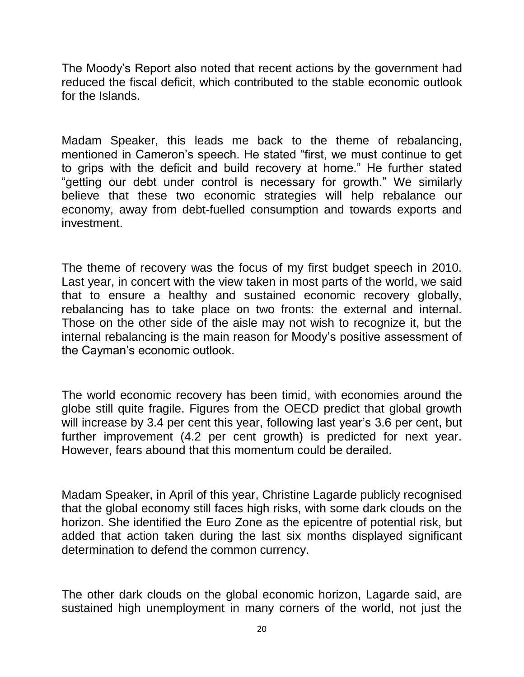The Moody's Report also noted that recent actions by the government had reduced the fiscal deficit, which contributed to the stable economic outlook for the Islands.

Madam Speaker, this leads me back to the theme of rebalancing, mentioned in Cameron's speech. He stated "first, we must continue to get to grips with the deficit and build recovery at home." He further stated "getting our debt under control is necessary for growth." We similarly believe that these two economic strategies will help rebalance our economy, away from debt-fuelled consumption and towards exports and investment.

The theme of recovery was the focus of my first budget speech in 2010. Last year, in concert with the view taken in most parts of the world, we said that to ensure a healthy and sustained economic recovery globally, rebalancing has to take place on two fronts: the external and internal. Those on the other side of the aisle may not wish to recognize it, but the internal rebalancing is the main reason for Moody's positive assessment of the Cayman's economic outlook.

The world economic recovery has been timid, with economies around the globe still quite fragile. Figures from the OECD predict that global growth will increase by 3.4 per cent this year, following last year's 3.6 per cent, but further improvement (4.2 per cent growth) is predicted for next year. However, fears abound that this momentum could be derailed.

Madam Speaker, in April of this year, Christine Lagarde publicly recognised that the global economy still faces high risks, with some dark clouds on the horizon. She identified the Euro Zone as the epicentre of potential risk, but added that action taken during the last six months displayed significant determination to defend the common currency.

The other dark clouds on the global economic horizon, Lagarde said, are sustained high unemployment in many corners of the world, not just the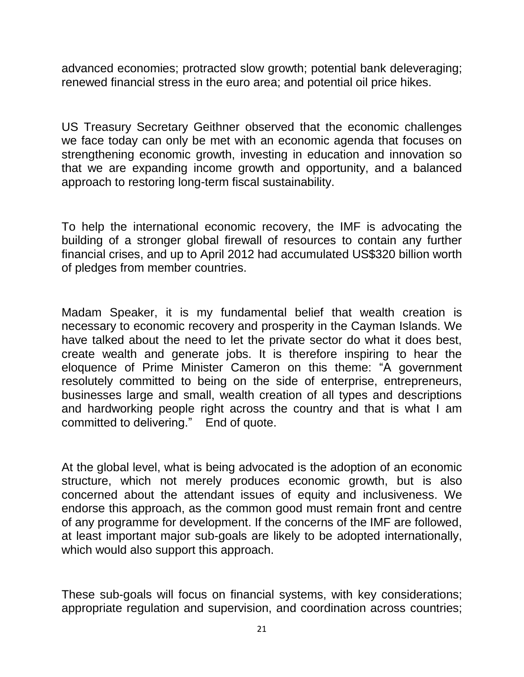advanced economies; protracted slow growth; potential bank deleveraging; renewed financial stress in the euro area; and potential oil price hikes.

US Treasury Secretary Geithner observed that the economic challenges we face today can only be met with an economic agenda that focuses on strengthening economic growth, investing in education and innovation so that we are expanding income growth and opportunity, and a balanced approach to restoring long-term fiscal sustainability.

To help the international economic recovery, the IMF is advocating the building of a stronger global firewall of resources to contain any further financial crises, and up to April 2012 had accumulated US\$320 billion worth of pledges from member countries.

Madam Speaker, it is my fundamental belief that wealth creation is necessary to economic recovery and prosperity in the Cayman Islands. We have talked about the need to let the private sector do what it does best, create wealth and generate jobs. It is therefore inspiring to hear the eloquence of Prime Minister Cameron on this theme: "A government resolutely committed to being on the side of enterprise, entrepreneurs, businesses large and small, wealth creation of all types and descriptions and hardworking people right across the country and that is what I am committed to delivering." End of quote.

At the global level, what is being advocated is the adoption of an economic structure, which not merely produces economic growth, but is also concerned about the attendant issues of equity and inclusiveness. We endorse this approach, as the common good must remain front and centre of any programme for development. If the concerns of the IMF are followed, at least important major sub-goals are likely to be adopted internationally, which would also support this approach.

These sub-goals will focus on financial systems, with key considerations; appropriate regulation and supervision, and coordination across countries;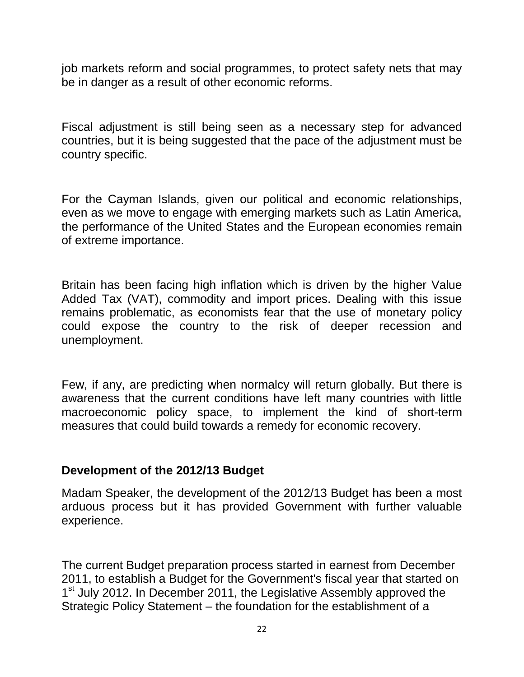job markets reform and social programmes, to protect safety nets that may be in danger as a result of other economic reforms.

Fiscal adjustment is still being seen as a necessary step for advanced countries, but it is being suggested that the pace of the adjustment must be country specific.

For the Cayman Islands, given our political and economic relationships, even as we move to engage with emerging markets such as Latin America, the performance of the United States and the European economies remain of extreme importance.

Britain has been facing high inflation which is driven by the higher Value Added Tax (VAT), commodity and import prices. Dealing with this issue remains problematic, as economists fear that the use of monetary policy could expose the country to the risk of deeper recession and unemployment.

Few, if any, are predicting when normalcy will return globally. But there is awareness that the current conditions have left many countries with little macroeconomic policy space, to implement the kind of short-term measures that could build towards a remedy for economic recovery.

### **Development of the 2012/13 Budget**

Madam Speaker, the development of the 2012/13 Budget has been a most arduous process but it has provided Government with further valuable experience.

The current Budget preparation process started in earnest from December 2011, to establish a Budget for the Government's fiscal year that started on 1<sup>st</sup> July 2012. In December 2011, the Legislative Assembly approved the Strategic Policy Statement – the foundation for the establishment of a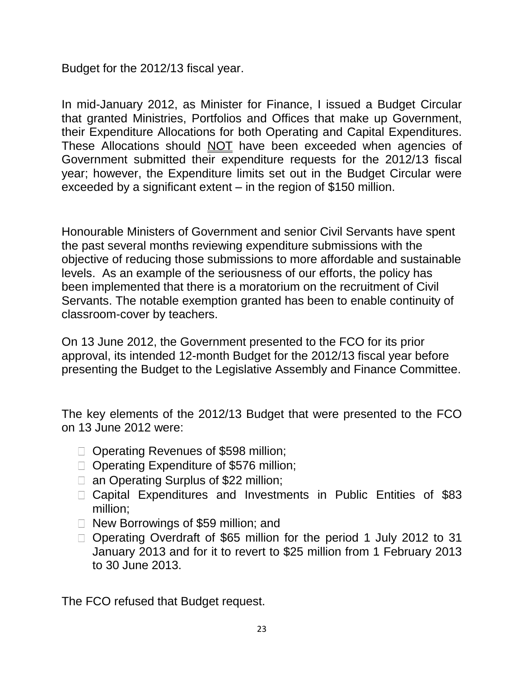Budget for the 2012/13 fiscal year.

In mid-January 2012, as Minister for Finance, I issued a Budget Circular that granted Ministries, Portfolios and Offices that make up Government, their Expenditure Allocations for both Operating and Capital Expenditures. These Allocations should NOT have been exceeded when agencies of Government submitted their expenditure requests for the 2012/13 fiscal year; however, the Expenditure limits set out in the Budget Circular were exceeded by a significant extent – in the region of \$150 million.

Honourable Ministers of Government and senior Civil Servants have spent the past several months reviewing expenditure submissions with the objective of reducing those submissions to more affordable and sustainable levels. As an example of the seriousness of our efforts, the policy has been implemented that there is a moratorium on the recruitment of Civil Servants. The notable exemption granted has been to enable continuity of classroom-cover by teachers.

On 13 June 2012, the Government presented to the FCO for its prior approval, its intended 12-month Budget for the 2012/13 fiscal year before presenting the Budget to the Legislative Assembly and Finance Committee.

The key elements of the 2012/13 Budget that were presented to the FCO on 13 June 2012 were:

- □ Operating Revenues of \$598 million;
- $\Box$  Operating Expenditure of \$576 million;
- □ an Operating Surplus of \$22 million;
- □ Capital Expenditures and Investments in Public Entities of \$83 million;
- □ New Borrowings of \$59 million; and
- □ Operating Overdraft of \$65 million for the period 1 July 2012 to 31 January 2013 and for it to revert to \$25 million from 1 February 2013 to 30 June 2013.

The FCO refused that Budget request.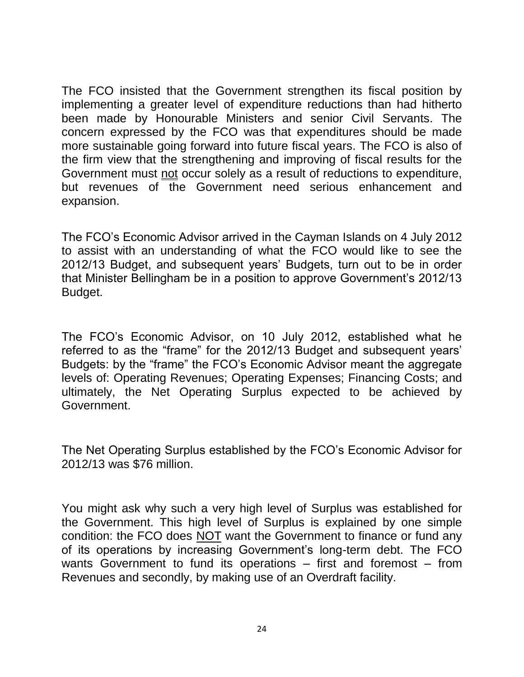The FCO insisted that the Government strengthen its fiscal position by implementing a greater level of expenditure reductions than had hitherto been made by Honourable Ministers and senior Civil Servants. The concern expressed by the FCO was that expenditures should be made more sustainable going forward into future fiscal years. The FCO is also of the firm view that the strengthening and improving of fiscal results for the Government must not occur solely as a result of reductions to expenditure, but revenues of the Government need serious enhancement and expansion.

The FCO's Economic Advisor arrived in the Cayman Islands on 4 July 2012 to assist with an understanding of what the FCO would like to see the 2012/13 Budget, and subsequent years' Budgets, turn out to be in order that Minister Bellingham be in a position to approve Government's 2012/13 Budget.

The FCO's Economic Advisor, on 10 July 2012, established what he referred to as the "frame" for the 2012/13 Budget and subsequent years' Budgets: by the "frame" the FCO's Economic Advisor meant the aggregate levels of: Operating Revenues; Operating Expenses; Financing Costs; and ultimately, the Net Operating Surplus expected to be achieved by Government.

The Net Operating Surplus established by the FCO's Economic Advisor for 2012/13 was \$76 million.

You might ask why such a very high level of Surplus was established for the Government. This high level of Surplus is explained by one simple condition: the FCO does NOT want the Government to finance or fund any of its operations by increasing Government's long-term debt. The FCO wants Government to fund its operations – first and foremost – from Revenues and secondly, by making use of an Overdraft facility.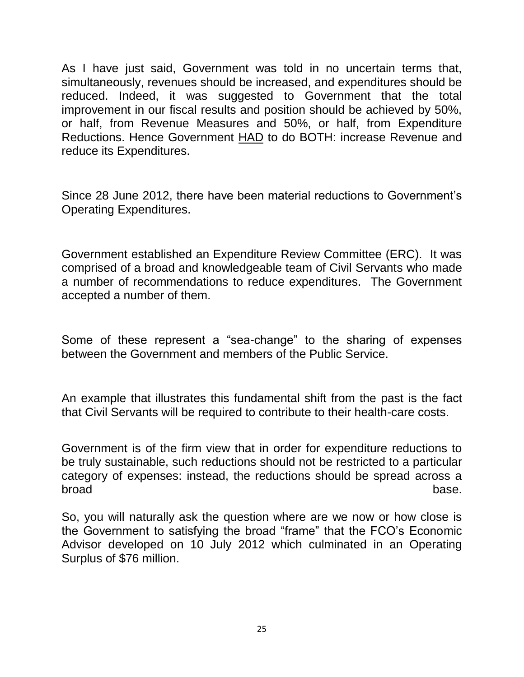As I have just said, Government was told in no uncertain terms that, simultaneously, revenues should be increased, and expenditures should be reduced. Indeed, it was suggested to Government that the total improvement in our fiscal results and position should be achieved by 50%, or half, from Revenue Measures and 50%, or half, from Expenditure Reductions. Hence Government **HAD** to do BOTH: increase Revenue and reduce its Expenditures.

Since 28 June 2012, there have been material reductions to Government's Operating Expenditures.

Government established an Expenditure Review Committee (ERC). It was comprised of a broad and knowledgeable team of Civil Servants who made a number of recommendations to reduce expenditures. The Government accepted a number of them.

Some of these represent a "sea-change" to the sharing of expenses between the Government and members of the Public Service.

An example that illustrates this fundamental shift from the past is the fact that Civil Servants will be required to contribute to their health-care costs.

Government is of the firm view that in order for expenditure reductions to be truly sustainable, such reductions should not be restricted to a particular category of expenses: instead, the reductions should be spread across a broad base. The contract of the contract of the contract of the contract of the contract of the contract of the contract of the contract of the contract of the contract of the contract of the contract of the contract of th

So, you will naturally ask the question where are we now or how close is the Government to satisfying the broad "frame" that the FCO's Economic Advisor developed on 10 July 2012 which culminated in an Operating Surplus of \$76 million.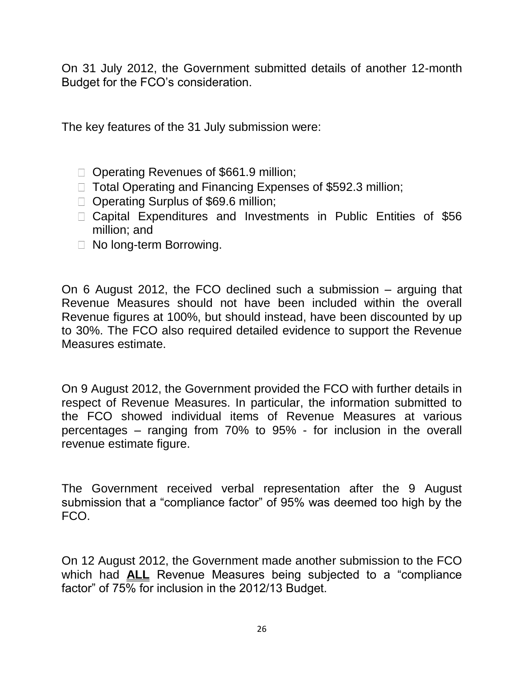On 31 July 2012, the Government submitted details of another 12-month Budget for the FCO's consideration.

The key features of the 31 July submission were:

- □ Operating Revenues of \$661.9 million;
- □ Total Operating and Financing Expenses of \$592.3 million;
- □ Operating Surplus of \$69.6 million;
- □ Capital Expenditures and Investments in Public Entities of \$56 million; and
- □ No long-term Borrowing.

On 6 August 2012, the FCO declined such a submission – arguing that Revenue Measures should not have been included within the overall Revenue figures at 100%, but should instead, have been discounted by up to 30%. The FCO also required detailed evidence to support the Revenue Measures estimate.

On 9 August 2012, the Government provided the FCO with further details in respect of Revenue Measures. In particular, the information submitted to the FCO showed individual items of Revenue Measures at various percentages – ranging from 70% to 95% - for inclusion in the overall revenue estimate figure.

The Government received verbal representation after the 9 August submission that a "compliance factor" of 95% was deemed too high by the FCO.

On 12 August 2012, the Government made another submission to the FCO which had **ALL** Revenue Measures being subjected to a "compliance factor" of 75% for inclusion in the 2012/13 Budget.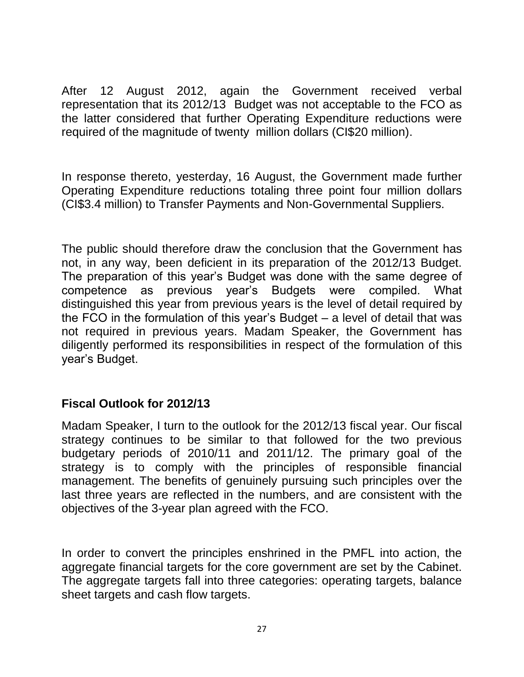After 12 August 2012, again the Government received verbal representation that its 2012/13 Budget was not acceptable to the FCO as the latter considered that further Operating Expenditure reductions were required of the magnitude of twenty million dollars (CI\$20 million).

In response thereto, yesterday, 16 August, the Government made further Operating Expenditure reductions totaling three point four million dollars (CI\$3.4 million) to Transfer Payments and Non-Governmental Suppliers.

The public should therefore draw the conclusion that the Government has not, in any way, been deficient in its preparation of the 2012/13 Budget. The preparation of this year's Budget was done with the same degree of competence as previous year's Budgets were compiled. What distinguished this year from previous years is the level of detail required by the FCO in the formulation of this year's Budget – a level of detail that was not required in previous years. Madam Speaker, the Government has diligently performed its responsibilities in respect of the formulation of this year's Budget.

# **Fiscal Outlook for 2012/13**

Madam Speaker, I turn to the outlook for the 2012/13 fiscal year. Our fiscal strategy continues to be similar to that followed for the two previous budgetary periods of 2010/11 and 2011/12. The primary goal of the strategy is to comply with the principles of responsible financial management. The benefits of genuinely pursuing such principles over the last three years are reflected in the numbers, and are consistent with the objectives of the 3-year plan agreed with the FCO.

In order to convert the principles enshrined in the PMFL into action, the aggregate financial targets for the core government are set by the Cabinet. The aggregate targets fall into three categories: operating targets, balance sheet targets and cash flow targets.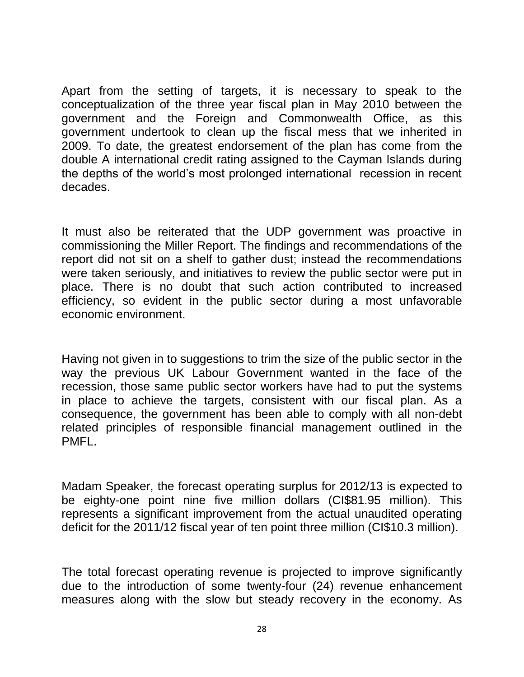Apart from the setting of targets, it is necessary to speak to the conceptualization of the three year fiscal plan in May 2010 between the government and the Foreign and Commonwealth Office, as this government undertook to clean up the fiscal mess that we inherited in 2009. To date, the greatest endorsement of the plan has come from the double A international credit rating assigned to the Cayman Islands during the depths of the world's most prolonged international recession in recent decades.

It must also be reiterated that the UDP government was proactive in commissioning the Miller Report. The findings and recommendations of the report did not sit on a shelf to gather dust; instead the recommendations were taken seriously, and initiatives to review the public sector were put in place. There is no doubt that such action contributed to increased efficiency, so evident in the public sector during a most unfavorable economic environment.

Having not given in to suggestions to trim the size of the public sector in the way the previous UK Labour Government wanted in the face of the recession, those same public sector workers have had to put the systems in place to achieve the targets, consistent with our fiscal plan. As a consequence, the government has been able to comply with all non-debt related principles of responsible financial management outlined in the PMFL.

Madam Speaker, the forecast operating surplus for 2012/13 is expected to be eighty-one point nine five million dollars (CI\$81.95 million). This represents a significant improvement from the actual unaudited operating deficit for the 2011/12 fiscal year of ten point three million (CI\$10.3 million).

The total forecast operating revenue is projected to improve significantly due to the introduction of some twenty-four (24) revenue enhancement measures along with the slow but steady recovery in the economy. As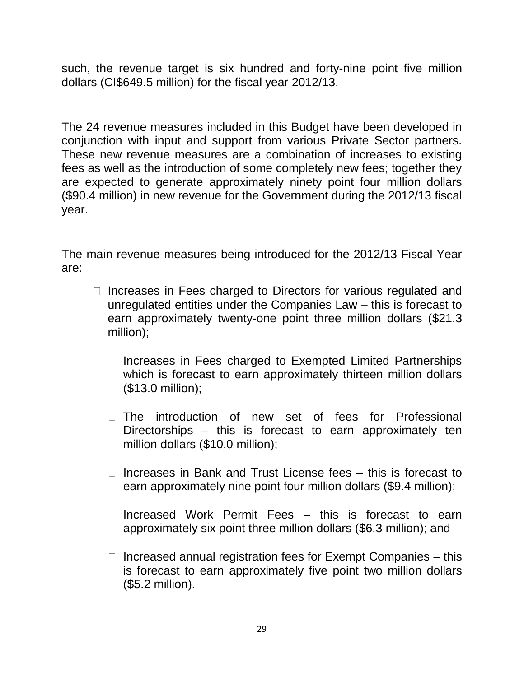such, the revenue target is six hundred and forty-nine point five million dollars (CI\$649.5 million) for the fiscal year 2012/13.

The 24 revenue measures included in this Budget have been developed in conjunction with input and support from various Private Sector partners. These new revenue measures are a combination of increases to existing fees as well as the introduction of some completely new fees; together they are expected to generate approximately ninety point four million dollars (\$90.4 million) in new revenue for the Government during the 2012/13 fiscal year.

The main revenue measures being introduced for the 2012/13 Fiscal Year are:

- $\Box$  Increases in Fees charged to Directors for various regulated and unregulated entities under the Companies Law – this is forecast to earn approximately twenty-one point three million dollars (\$21.3 million);
	- $\Box$  Increases in Fees charged to Exempted Limited Partnerships which is forecast to earn approximately thirteen million dollars (\$13.0 million);
	- $\Box$  The introduction of new set of fees for Professional Directorships – this is forecast to earn approximately ten million dollars (\$10.0 million);
	- $\Box$  Increases in Bank and Trust License fees  $-$  this is forecast to earn approximately nine point four million dollars (\$9.4 million);
	- $\Box$  Increased Work Permit Fees  $-$  this is forecast to earn approximately six point three million dollars (\$6.3 million); and
	- $\Box$  Increased annual registration fees for Exempt Companies this is forecast to earn approximately five point two million dollars (\$5.2 million).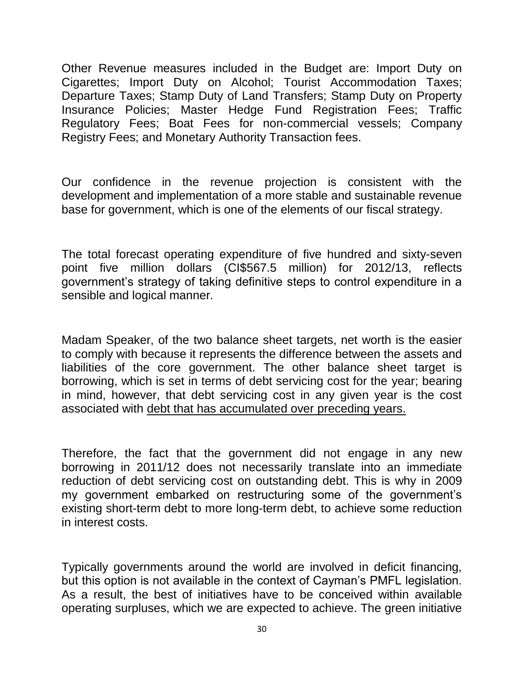Other Revenue measures included in the Budget are: Import Duty on Cigarettes; Import Duty on Alcohol; Tourist Accommodation Taxes; Departure Taxes; Stamp Duty of Land Transfers; Stamp Duty on Property Insurance Policies; Master Hedge Fund Registration Fees; Traffic Regulatory Fees; Boat Fees for non-commercial vessels; Company Registry Fees; and Monetary Authority Transaction fees.

Our confidence in the revenue projection is consistent with the development and implementation of a more stable and sustainable revenue base for government, which is one of the elements of our fiscal strategy.

The total forecast operating expenditure of five hundred and sixty-seven point five million dollars (CI\$567.5 million) for 2012/13, reflects government's strategy of taking definitive steps to control expenditure in a sensible and logical manner.

Madam Speaker, of the two balance sheet targets, net worth is the easier to comply with because it represents the difference between the assets and liabilities of the core government. The other balance sheet target is borrowing, which is set in terms of debt servicing cost for the year; bearing in mind, however, that debt servicing cost in any given year is the cost associated with debt that has accumulated over preceding years.

Therefore, the fact that the government did not engage in any new borrowing in 2011/12 does not necessarily translate into an immediate reduction of debt servicing cost on outstanding debt. This is why in 2009 my government embarked on restructuring some of the government's existing short-term debt to more long-term debt, to achieve some reduction in interest costs.

Typically governments around the world are involved in deficit financing, but this option is not available in the context of Cayman's PMFL legislation. As a result, the best of initiatives have to be conceived within available operating surpluses, which we are expected to achieve. The green initiative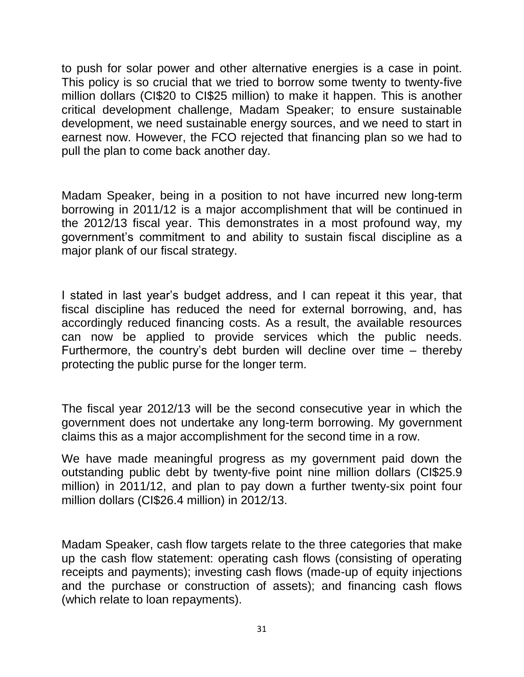to push for solar power and other alternative energies is a case in point. This policy is so crucial that we tried to borrow some twenty to twenty-five million dollars (CI\$20 to CI\$25 million) to make it happen. This is another critical development challenge, Madam Speaker; to ensure sustainable development, we need sustainable energy sources, and we need to start in earnest now. However, the FCO rejected that financing plan so we had to pull the plan to come back another day.

Madam Speaker, being in a position to not have incurred new long-term borrowing in 2011/12 is a major accomplishment that will be continued in the 2012/13 fiscal year. This demonstrates in a most profound way, my government's commitment to and ability to sustain fiscal discipline as a major plank of our fiscal strategy.

I stated in last year's budget address, and I can repeat it this year, that fiscal discipline has reduced the need for external borrowing, and, has accordingly reduced financing costs. As a result, the available resources can now be applied to provide services which the public needs. Furthermore, the country's debt burden will decline over time – thereby protecting the public purse for the longer term.

The fiscal year 2012/13 will be the second consecutive year in which the government does not undertake any long-term borrowing. My government claims this as a major accomplishment for the second time in a row.

We have made meaningful progress as my government paid down the outstanding public debt by twenty-five point nine million dollars (CI\$25.9 million) in 2011/12, and plan to pay down a further twenty-six point four million dollars (CI\$26.4 million) in 2012/13.

Madam Speaker, cash flow targets relate to the three categories that make up the cash flow statement: operating cash flows (consisting of operating receipts and payments); investing cash flows (made-up of equity injections and the purchase or construction of assets); and financing cash flows (which relate to loan repayments).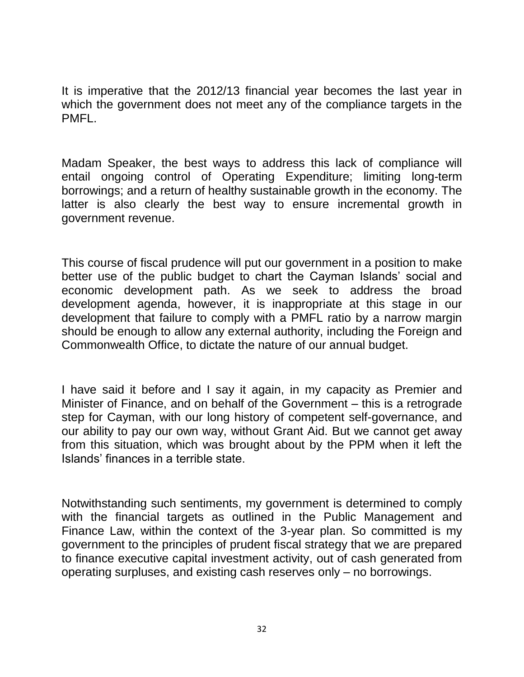It is imperative that the 2012/13 financial year becomes the last year in which the government does not meet any of the compliance targets in the PMFL.

Madam Speaker, the best ways to address this lack of compliance will entail ongoing control of Operating Expenditure; limiting long-term borrowings; and a return of healthy sustainable growth in the economy. The latter is also clearly the best way to ensure incremental growth in government revenue.

This course of fiscal prudence will put our government in a position to make better use of the public budget to chart the Cayman Islands' social and economic development path. As we seek to address the broad development agenda, however, it is inappropriate at this stage in our development that failure to comply with a PMFL ratio by a narrow margin should be enough to allow any external authority, including the Foreign and Commonwealth Office, to dictate the nature of our annual budget.

I have said it before and I say it again, in my capacity as Premier and Minister of Finance, and on behalf of the Government – this is a retrograde step for Cayman, with our long history of competent self-governance, and our ability to pay our own way, without Grant Aid. But we cannot get away from this situation, which was brought about by the PPM when it left the Islands' finances in a terrible state.

Notwithstanding such sentiments, my government is determined to comply with the financial targets as outlined in the Public Management and Finance Law, within the context of the 3-year plan. So committed is my government to the principles of prudent fiscal strategy that we are prepared to finance executive capital investment activity, out of cash generated from operating surpluses, and existing cash reserves only – no borrowings.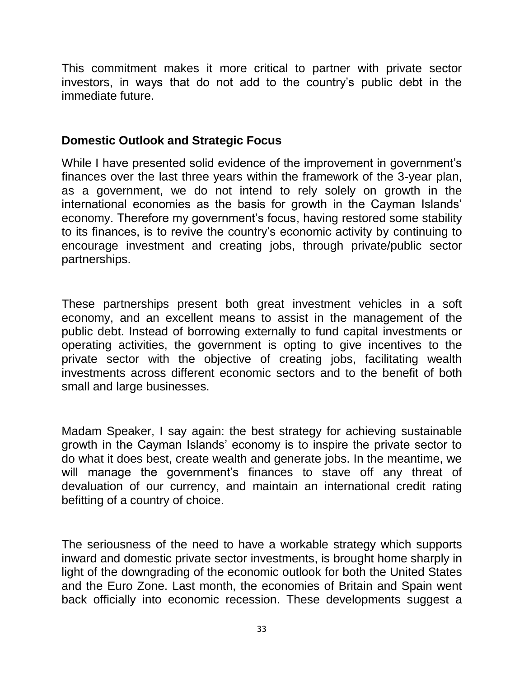This commitment makes it more critical to partner with private sector investors, in ways that do not add to the country's public debt in the immediate future.

#### **Domestic Outlook and Strategic Focus**

While I have presented solid evidence of the improvement in government's finances over the last three years within the framework of the 3-year plan, as a government, we do not intend to rely solely on growth in the international economies as the basis for growth in the Cayman Islands' economy. Therefore my government's focus, having restored some stability to its finances, is to revive the country's economic activity by continuing to encourage investment and creating jobs, through private/public sector partnerships.

These partnerships present both great investment vehicles in a soft economy, and an excellent means to assist in the management of the public debt. Instead of borrowing externally to fund capital investments or operating activities, the government is opting to give incentives to the private sector with the objective of creating jobs, facilitating wealth investments across different economic sectors and to the benefit of both small and large businesses.

Madam Speaker, I say again: the best strategy for achieving sustainable growth in the Cayman Islands' economy is to inspire the private sector to do what it does best, create wealth and generate jobs. In the meantime, we will manage the government's finances to stave off any threat of devaluation of our currency, and maintain an international credit rating befitting of a country of choice.

The seriousness of the need to have a workable strategy which supports inward and domestic private sector investments, is brought home sharply in light of the downgrading of the economic outlook for both the United States and the Euro Zone. Last month, the economies of Britain and Spain went back officially into economic recession. These developments suggest a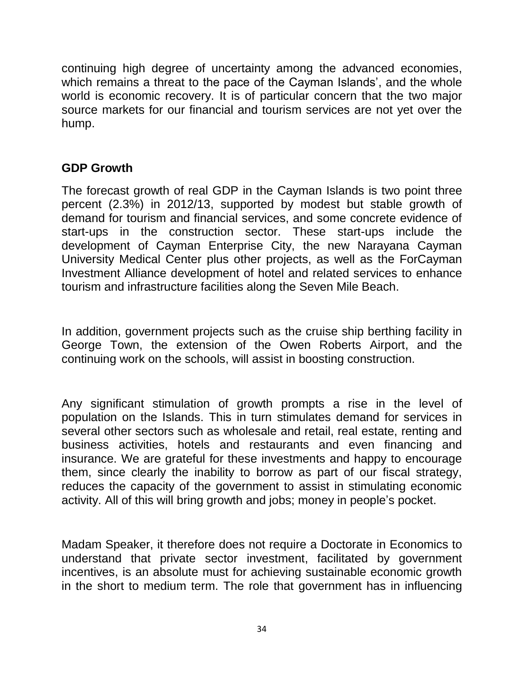continuing high degree of uncertainty among the advanced economies, which remains a threat to the pace of the Cayman Islands', and the whole world is economic recovery. It is of particular concern that the two major source markets for our financial and tourism services are not yet over the hump.

## **GDP Growth**

The forecast growth of real GDP in the Cayman Islands is two point three percent (2.3%) in 2012/13, supported by modest but stable growth of demand for tourism and financial services, and some concrete evidence of start-ups in the construction sector. These start-ups include the development of Cayman Enterprise City, the new Narayana Cayman University Medical Center plus other projects, as well as the ForCayman Investment Alliance development of hotel and related services to enhance tourism and infrastructure facilities along the Seven Mile Beach.

In addition, government projects such as the cruise ship berthing facility in George Town, the extension of the Owen Roberts Airport, and the continuing work on the schools, will assist in boosting construction.

Any significant stimulation of growth prompts a rise in the level of population on the Islands. This in turn stimulates demand for services in several other sectors such as wholesale and retail, real estate, renting and business activities, hotels and restaurants and even financing and insurance. We are grateful for these investments and happy to encourage them, since clearly the inability to borrow as part of our fiscal strategy, reduces the capacity of the government to assist in stimulating economic activity. All of this will bring growth and jobs; money in people's pocket.

Madam Speaker, it therefore does not require a Doctorate in Economics to understand that private sector investment, facilitated by government incentives, is an absolute must for achieving sustainable economic growth in the short to medium term. The role that government has in influencing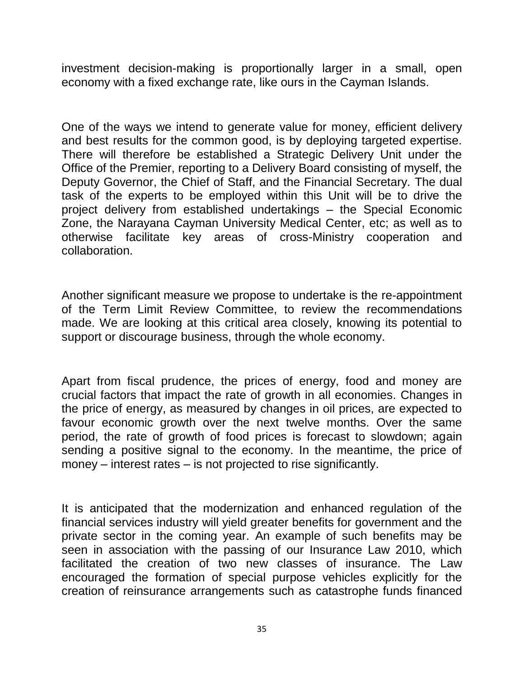investment decision-making is proportionally larger in a small, open economy with a fixed exchange rate, like ours in the Cayman Islands.

One of the ways we intend to generate value for money, efficient delivery and best results for the common good, is by deploying targeted expertise. There will therefore be established a Strategic Delivery Unit under the Office of the Premier, reporting to a Delivery Board consisting of myself, the Deputy Governor, the Chief of Staff, and the Financial Secretary. The dual task of the experts to be employed within this Unit will be to drive the project delivery from established undertakings – the Special Economic Zone, the Narayana Cayman University Medical Center, etc; as well as to otherwise facilitate key areas of cross-Ministry cooperation and collaboration.

Another significant measure we propose to undertake is the re-appointment of the Term Limit Review Committee, to review the recommendations made. We are looking at this critical area closely, knowing its potential to support or discourage business, through the whole economy.

Apart from fiscal prudence, the prices of energy, food and money are crucial factors that impact the rate of growth in all economies. Changes in the price of energy, as measured by changes in oil prices, are expected to favour economic growth over the next twelve months. Over the same period, the rate of growth of food prices is forecast to slowdown; again sending a positive signal to the economy. In the meantime, the price of money – interest rates – is not projected to rise significantly.

It is anticipated that the modernization and enhanced regulation of the financial services industry will yield greater benefits for government and the private sector in the coming year. An example of such benefits may be seen in association with the passing of our Insurance Law 2010, which facilitated the creation of two new classes of insurance. The Law encouraged the formation of special purpose vehicles explicitly for the creation of reinsurance arrangements such as catastrophe funds financed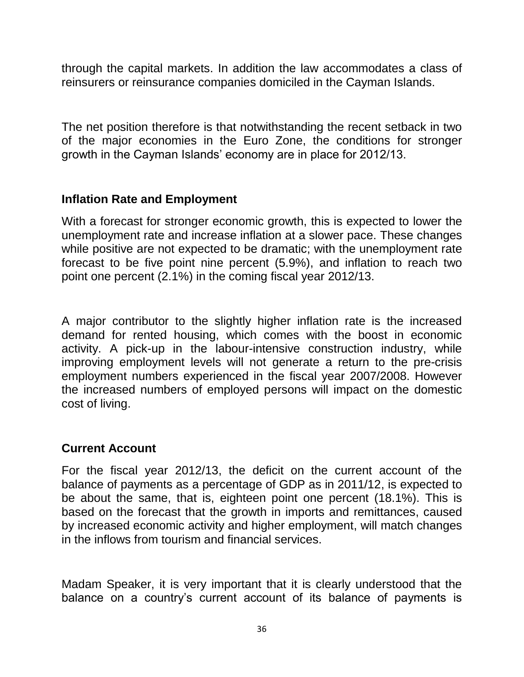through the capital markets. In addition the law accommodates a class of reinsurers or reinsurance companies domiciled in the Cayman Islands.

The net position therefore is that notwithstanding the recent setback in two of the major economies in the Euro Zone, the conditions for stronger growth in the Cayman Islands' economy are in place for 2012/13.

## **Inflation Rate and Employment**

With a forecast for stronger economic growth, this is expected to lower the unemployment rate and increase inflation at a slower pace. These changes while positive are not expected to be dramatic; with the unemployment rate forecast to be five point nine percent (5.9%), and inflation to reach two point one percent (2.1%) in the coming fiscal year 2012/13.

A major contributor to the slightly higher inflation rate is the increased demand for rented housing, which comes with the boost in economic activity. A pick-up in the labour-intensive construction industry, while improving employment levels will not generate a return to the pre-crisis employment numbers experienced in the fiscal year 2007/2008. However the increased numbers of employed persons will impact on the domestic cost of living.

### **Current Account**

For the fiscal year 2012/13, the deficit on the current account of the balance of payments as a percentage of GDP as in 2011/12, is expected to be about the same, that is, eighteen point one percent (18.1%). This is based on the forecast that the growth in imports and remittances, caused by increased economic activity and higher employment, will match changes in the inflows from tourism and financial services.

Madam Speaker, it is very important that it is clearly understood that the balance on a country's current account of its balance of payments is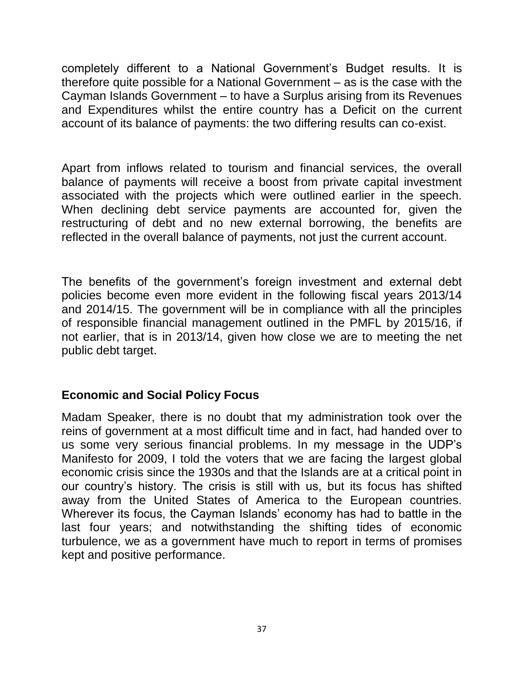completely different to a National Government's Budget results. It is therefore quite possible for a National Government – as is the case with the Cayman Islands Government – to have a Surplus arising from its Revenues and Expenditures whilst the entire country has a Deficit on the current account of its balance of payments: the two differing results can co-exist.

Apart from inflows related to tourism and financial services, the overall balance of payments will receive a boost from private capital investment associated with the projects which were outlined earlier in the speech. When declining debt service payments are accounted for, given the restructuring of debt and no new external borrowing, the benefits are reflected in the overall balance of payments, not just the current account.

The benefits of the government's foreign investment and external debt policies become even more evident in the following fiscal years 2013/14 and 2014/15. The government will be in compliance with all the principles of responsible financial management outlined in the PMFL by 2015/16, if not earlier, that is in 2013/14, given how close we are to meeting the net public debt target.

### **Economic and Social Policy Focus**

Madam Speaker, there is no doubt that my administration took over the reins of government at a most difficult time and in fact, had handed over to us some very serious financial problems. In my message in the UDP's Manifesto for 2009, I told the voters that we are facing the largest global economic crisis since the 1930s and that the Islands are at a critical point in our country's history. The crisis is still with us, but its focus has shifted away from the United States of America to the European countries. Wherever its focus, the Cayman Islands' economy has had to battle in the last four years; and notwithstanding the shifting tides of economic turbulence, we as a government have much to report in terms of promises kept and positive performance.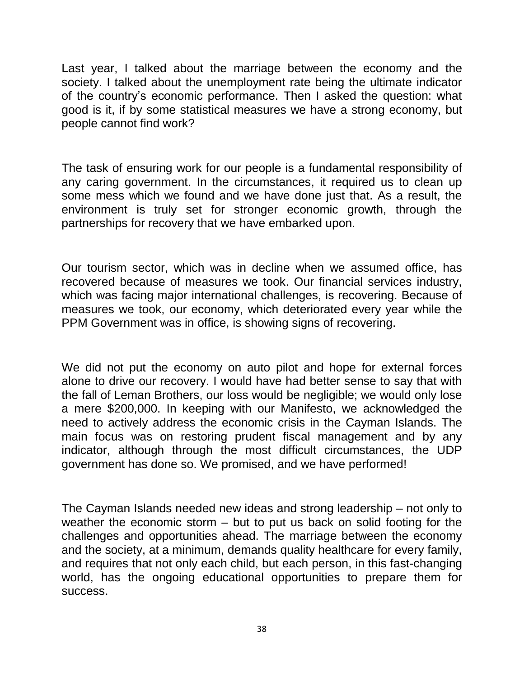Last year, I talked about the marriage between the economy and the society. I talked about the unemployment rate being the ultimate indicator of the country's economic performance. Then I asked the question: what good is it, if by some statistical measures we have a strong economy, but people cannot find work?

The task of ensuring work for our people is a fundamental responsibility of any caring government. In the circumstances, it required us to clean up some mess which we found and we have done just that. As a result, the environment is truly set for stronger economic growth, through the partnerships for recovery that we have embarked upon.

Our tourism sector, which was in decline when we assumed office, has recovered because of measures we took. Our financial services industry, which was facing major international challenges, is recovering. Because of measures we took, our economy, which deteriorated every year while the PPM Government was in office, is showing signs of recovering.

We did not put the economy on auto pilot and hope for external forces alone to drive our recovery. I would have had better sense to say that with the fall of Leman Brothers, our loss would be negligible; we would only lose a mere \$200,000. In keeping with our Manifesto, we acknowledged the need to actively address the economic crisis in the Cayman Islands. The main focus was on restoring prudent fiscal management and by any indicator, although through the most difficult circumstances, the UDP government has done so. We promised, and we have performed!

The Cayman Islands needed new ideas and strong leadership – not only to weather the economic storm – but to put us back on solid footing for the challenges and opportunities ahead. The marriage between the economy and the society, at a minimum, demands quality healthcare for every family, and requires that not only each child, but each person, in this fast-changing world, has the ongoing educational opportunities to prepare them for success.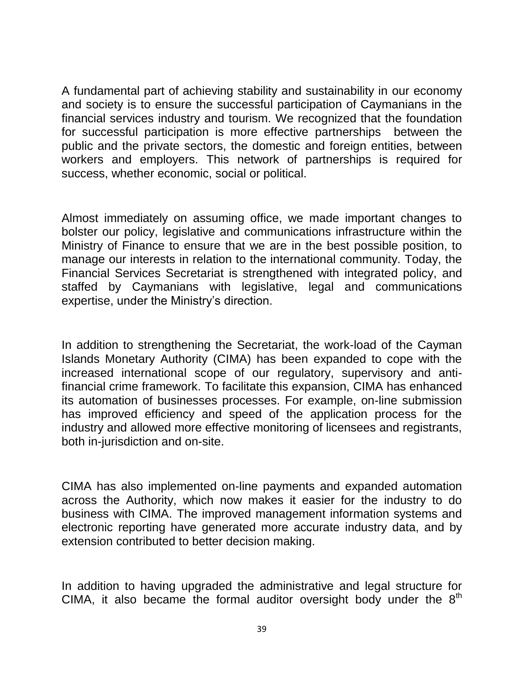A fundamental part of achieving stability and sustainability in our economy and society is to ensure the successful participation of Caymanians in the financial services industry and tourism. We recognized that the foundation for successful participation is more effective partnerships between the public and the private sectors, the domestic and foreign entities, between workers and employers. This network of partnerships is required for success, whether economic, social or political.

Almost immediately on assuming office, we made important changes to bolster our policy, legislative and communications infrastructure within the Ministry of Finance to ensure that we are in the best possible position, to manage our interests in relation to the international community. Today, the Financial Services Secretariat is strengthened with integrated policy, and staffed by Caymanians with legislative, legal and communications expertise, under the Ministry's direction.

In addition to strengthening the Secretariat, the work-load of the Cayman Islands Monetary Authority (CIMA) has been expanded to cope with the increased international scope of our regulatory, supervisory and antifinancial crime framework. To facilitate this expansion, CIMA has enhanced its automation of businesses processes. For example, on-line submission has improved efficiency and speed of the application process for the industry and allowed more effective monitoring of licensees and registrants, both in-jurisdiction and on-site.

CIMA has also implemented on-line payments and expanded automation across the Authority, which now makes it easier for the industry to do business with CIMA. The improved management information systems and electronic reporting have generated more accurate industry data, and by extension contributed to better decision making.

In addition to having upgraded the administrative and legal structure for CIMA, it also became the formal auditor oversight body under the  $8<sup>th</sup>$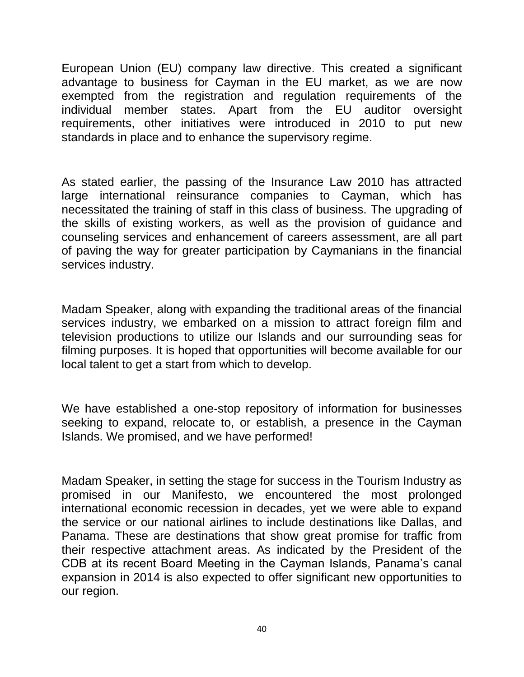European Union (EU) company law directive. This created a significant advantage to business for Cayman in the EU market, as we are now exempted from the registration and regulation requirements of the individual member states. Apart from the EU auditor oversight requirements, other initiatives were introduced in 2010 to put new standards in place and to enhance the supervisory regime.

As stated earlier, the passing of the Insurance Law 2010 has attracted large international reinsurance companies to Cayman, which has necessitated the training of staff in this class of business. The upgrading of the skills of existing workers, as well as the provision of guidance and counseling services and enhancement of careers assessment, are all part of paving the way for greater participation by Caymanians in the financial services industry.

Madam Speaker, along with expanding the traditional areas of the financial services industry, we embarked on a mission to attract foreign film and television productions to utilize our Islands and our surrounding seas for filming purposes. It is hoped that opportunities will become available for our local talent to get a start from which to develop.

We have established a one-stop repository of information for businesses seeking to expand, relocate to, or establish, a presence in the Cayman Islands. We promised, and we have performed!

Madam Speaker, in setting the stage for success in the Tourism Industry as promised in our Manifesto, we encountered the most prolonged international economic recession in decades, yet we were able to expand the service or our national airlines to include destinations like Dallas, and Panama. These are destinations that show great promise for traffic from their respective attachment areas. As indicated by the President of the CDB at its recent Board Meeting in the Cayman Islands, Panama's canal expansion in 2014 is also expected to offer significant new opportunities to our region.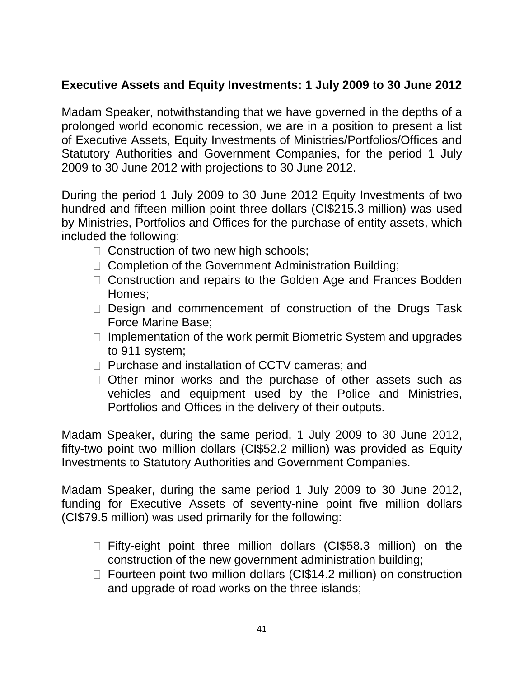# **Executive Assets and Equity Investments: 1 July 2009 to 30 June 2012**

Madam Speaker, notwithstanding that we have governed in the depths of a prolonged world economic recession, we are in a position to present a list of Executive Assets, Equity Investments of Ministries/Portfolios/Offices and Statutory Authorities and Government Companies, for the period 1 July 2009 to 30 June 2012 with projections to 30 June 2012.

During the period 1 July 2009 to 30 June 2012 Equity Investments of two hundred and fifteen million point three dollars (CI\$215.3 million) was used by Ministries, Portfolios and Offices for the purchase of entity assets, which included the following:

- $\Box$  Construction of two new high schools;
- $\Box$  Completion of the Government Administration Building;
- □ Construction and repairs to the Golden Age and Frances Bodden Homes;
- D Design and commencement of construction of the Drugs Task Force Marine Base;
- $\Box$  Implementation of the work permit Biometric System and upgrades to 911 system;
- □ Purchase and installation of CCTV cameras; and
- $\Box$  Other minor works and the purchase of other assets such as vehicles and equipment used by the Police and Ministries, Portfolios and Offices in the delivery of their outputs.

Madam Speaker, during the same period, 1 July 2009 to 30 June 2012, fifty-two point two million dollars (CI\$52.2 million) was provided as Equity Investments to Statutory Authorities and Government Companies.

Madam Speaker, during the same period 1 July 2009 to 30 June 2012, funding for Executive Assets of seventy-nine point five million dollars (CI\$79.5 million) was used primarily for the following:

- Fifty-eight point three million dollars (CI\$58.3 million) on the construction of the new government administration building;
- □ Fourteen point two million dollars (CI\$14.2 million) on construction and upgrade of road works on the three islands;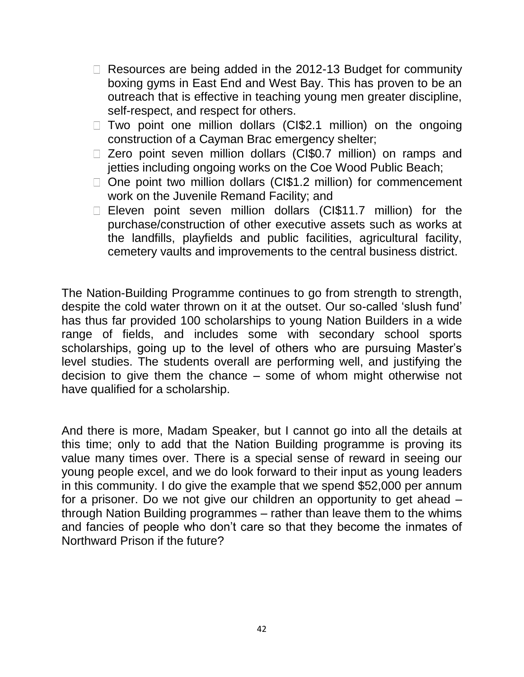- □ Resources are being added in the 2012-13 Budget for community boxing gyms in East End and West Bay. This has proven to be an outreach that is effective in teaching young men greater discipline, self-respect, and respect for others.
- $\Box$  Two point one million dollars (CI\$2.1 million) on the ongoing construction of a Cayman Brac emergency shelter;
- □ Zero point seven million dollars (CI\$0.7 million) on ramps and jetties including ongoing works on the Coe Wood Public Beach;
- □ One point two million dollars (CI\$1.2 million) for commencement work on the Juvenile Remand Facility; and
- Eleven point seven million dollars (CI\$11.7 million) for the purchase/construction of other executive assets such as works at the landfills, playfields and public facilities, agricultural facility, cemetery vaults and improvements to the central business district.

The Nation-Building Programme continues to go from strength to strength, despite the cold water thrown on it at the outset. Our so-called 'slush fund' has thus far provided 100 scholarships to young Nation Builders in a wide range of fields, and includes some with secondary school sports scholarships, going up to the level of others who are pursuing Master's level studies. The students overall are performing well, and justifying the decision to give them the chance – some of whom might otherwise not have qualified for a scholarship.

And there is more, Madam Speaker, but I cannot go into all the details at this time; only to add that the Nation Building programme is proving its value many times over. There is a special sense of reward in seeing our young people excel, and we do look forward to their input as young leaders in this community. I do give the example that we spend \$52,000 per annum for a prisoner. Do we not give our children an opportunity to get ahead – through Nation Building programmes – rather than leave them to the whims and fancies of people who don't care so that they become the inmates of Northward Prison if the future?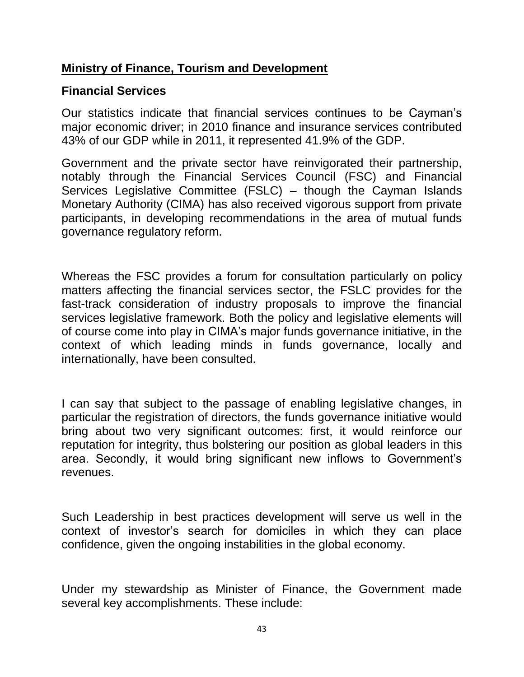## **Ministry of Finance, Tourism and Development**

## **Financial Services**

Our statistics indicate that financial services continues to be Cayman's major economic driver; in 2010 finance and insurance services contributed 43% of our GDP while in 2011, it represented 41.9% of the GDP.

Government and the private sector have reinvigorated their partnership, notably through the Financial Services Council (FSC) and Financial Services Legislative Committee (FSLC) – though the Cayman Islands Monetary Authority (CIMA) has also received vigorous support from private participants, in developing recommendations in the area of mutual funds governance regulatory reform.

Whereas the FSC provides a forum for consultation particularly on policy matters affecting the financial services sector, the FSLC provides for the fast-track consideration of industry proposals to improve the financial services legislative framework. Both the policy and legislative elements will of course come into play in CIMA's major funds governance initiative, in the context of which leading minds in funds governance, locally and internationally, have been consulted.

I can say that subject to the passage of enabling legislative changes, in particular the registration of directors, the funds governance initiative would bring about two very significant outcomes: first, it would reinforce our reputation for integrity, thus bolstering our position as global leaders in this area. Secondly, it would bring significant new inflows to Government's revenues.

Such Leadership in best practices development will serve us well in the context of investor's search for domiciles in which they can place confidence, given the ongoing instabilities in the global economy.

Under my stewardship as Minister of Finance, the Government made several key accomplishments. These include: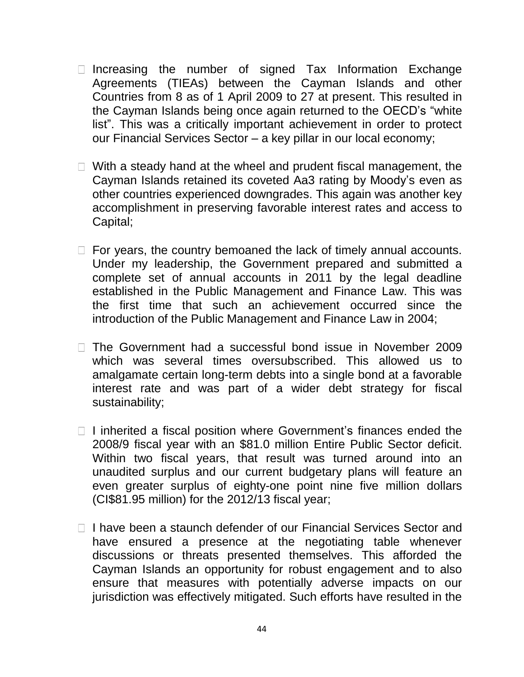- $\Box$  Increasing the number of signed Tax Information Exchange Agreements (TIEAs) between the Cayman Islands and other Countries from 8 as of 1 April 2009 to 27 at present. This resulted in the Cayman Islands being once again returned to the OECD's "white list". This was a critically important achievement in order to protect our Financial Services Sector – a key pillar in our local economy;
- $\Box$  With a steady hand at the wheel and prudent fiscal management, the Cayman Islands retained its coveted Aa3 rating by Moody's even as other countries experienced downgrades. This again was another key accomplishment in preserving favorable interest rates and access to Capital;
- $\Box$  For years, the country bemoaned the lack of timely annual accounts. Under my leadership, the Government prepared and submitted a complete set of annual accounts in 2011 by the legal deadline established in the Public Management and Finance Law. This was the first time that such an achievement occurred since the introduction of the Public Management and Finance Law in 2004;
- $\Box$  The Government had a successful bond issue in November 2009 which was several times oversubscribed. This allowed us to amalgamate certain long-term debts into a single bond at a favorable interest rate and was part of a wider debt strategy for fiscal sustainability;
- $\Box$  I inherited a fiscal position where Government's finances ended the 2008/9 fiscal year with an \$81.0 million Entire Public Sector deficit. Within two fiscal years, that result was turned around into an unaudited surplus and our current budgetary plans will feature an even greater surplus of eighty-one point nine five million dollars (CI\$81.95 million) for the 2012/13 fiscal year;
- $\Box$  I have been a staunch defender of our Financial Services Sector and have ensured a presence at the negotiating table whenever discussions or threats presented themselves. This afforded the Cayman Islands an opportunity for robust engagement and to also ensure that measures with potentially adverse impacts on our jurisdiction was effectively mitigated. Such efforts have resulted in the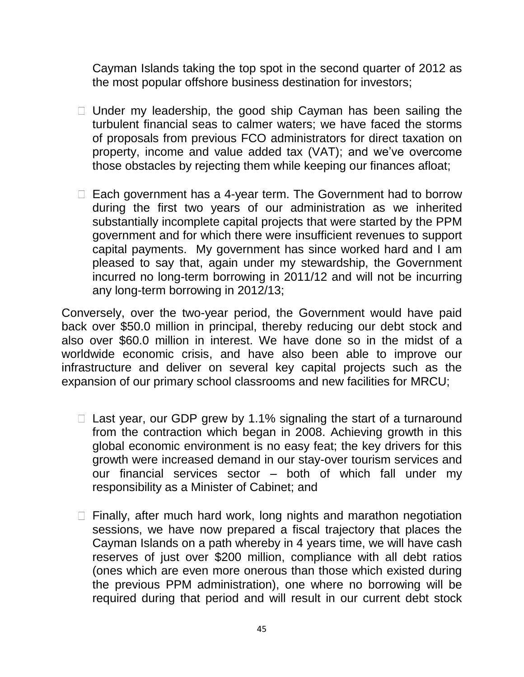Cayman Islands taking the top spot in the second quarter of 2012 as the most popular offshore business destination for investors;

- $\Box$  Under my leadership, the good ship Cayman has been sailing the turbulent financial seas to calmer waters; we have faced the storms of proposals from previous FCO administrators for direct taxation on property, income and value added tax (VAT); and we've overcome those obstacles by rejecting them while keeping our finances afloat;
- □ Each government has a 4-year term. The Government had to borrow during the first two years of our administration as we inherited substantially incomplete capital projects that were started by the PPM government and for which there were insufficient revenues to support capital payments. My government has since worked hard and I am pleased to say that, again under my stewardship, the Government incurred no long-term borrowing in 2011/12 and will not be incurring any long-term borrowing in 2012/13;

Conversely, over the two-year period, the Government would have paid back over \$50.0 million in principal, thereby reducing our debt stock and also over \$60.0 million in interest. We have done so in the midst of a worldwide economic crisis, and have also been able to improve our infrastructure and deliver on several key capital projects such as the expansion of our primary school classrooms and new facilities for MRCU;

- $\Box$  Last year, our GDP grew by 1.1% signaling the start of a turnaround from the contraction which began in 2008. Achieving growth in this global economic environment is no easy feat; the key drivers for this growth were increased demand in our stay-over tourism services and our financial services sector – both of which fall under my responsibility as a Minister of Cabinet; and
- $\Box$  Finally, after much hard work, long nights and marathon negotiation sessions, we have now prepared a fiscal trajectory that places the Cayman Islands on a path whereby in 4 years time, we will have cash reserves of just over \$200 million, compliance with all debt ratios (ones which are even more onerous than those which existed during the previous PPM administration), one where no borrowing will be required during that period and will result in our current debt stock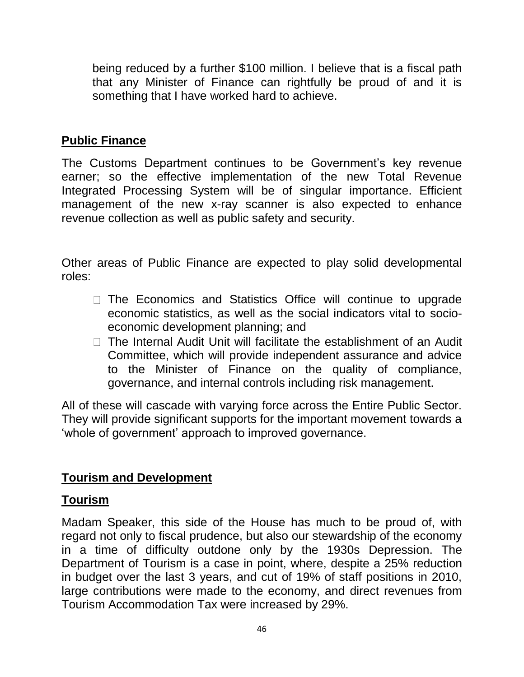being reduced by a further \$100 million. I believe that is a fiscal path that any Minister of Finance can rightfully be proud of and it is something that I have worked hard to achieve.

# **Public Finance**

The Customs Department continues to be Government's key revenue earner; so the effective implementation of the new Total Revenue Integrated Processing System will be of singular importance. Efficient management of the new x-ray scanner is also expected to enhance revenue collection as well as public safety and security.

Other areas of Public Finance are expected to play solid developmental roles:

- $\Box$  The Economics and Statistics Office will continue to upgrade economic statistics, as well as the social indicators vital to socioeconomic development planning; and
- $\Box$  The Internal Audit Unit will facilitate the establishment of an Audit Committee, which will provide independent assurance and advice to the Minister of Finance on the quality of compliance, governance, and internal controls including risk management.

All of these will cascade with varying force across the Entire Public Sector. They will provide significant supports for the important movement towards a 'whole of government' approach to improved governance.

### **Tourism and Development**

### **Tourism**

Madam Speaker, this side of the House has much to be proud of, with regard not only to fiscal prudence, but also our stewardship of the economy in a time of difficulty outdone only by the 1930s Depression. The Department of Tourism is a case in point, where, despite a 25% reduction in budget over the last 3 years, and cut of 19% of staff positions in 2010, large contributions were made to the economy, and direct revenues from Tourism Accommodation Tax were increased by 29%.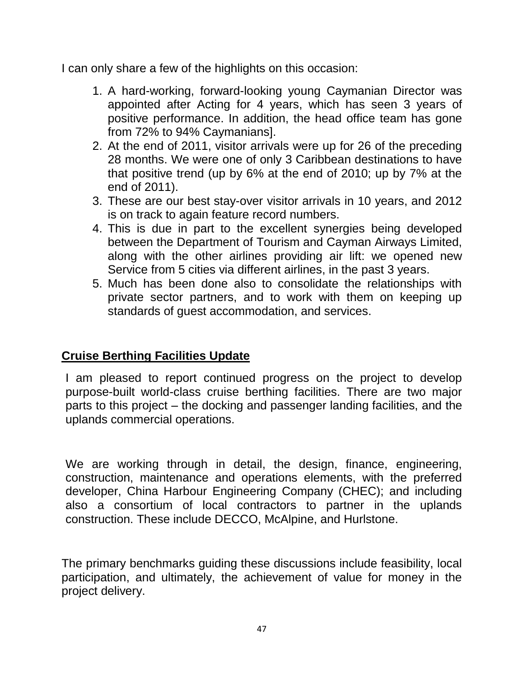I can only share a few of the highlights on this occasion:

- 1. A hard-working, forward-looking young Caymanian Director was appointed after Acting for 4 years, which has seen 3 years of positive performance. In addition, the head office team has gone from 72% to 94% Caymanians].
- 2. At the end of 2011, visitor arrivals were up for 26 of the preceding 28 months. We were one of only 3 Caribbean destinations to have that positive trend (up by 6% at the end of 2010; up by 7% at the end of 2011).
- 3. These are our best stay-over visitor arrivals in 10 years, and 2012 is on track to again feature record numbers.
- 4. This is due in part to the excellent synergies being developed between the Department of Tourism and Cayman Airways Limited, along with the other airlines providing air lift: we opened new Service from 5 cities via different airlines, in the past 3 years.
- 5. Much has been done also to consolidate the relationships with private sector partners, and to work with them on keeping up standards of guest accommodation, and services.

# **Cruise Berthing Facilities Update**

I am pleased to report continued progress on the project to develop purpose-built world-class cruise berthing facilities. There are two major parts to this project – the docking and passenger landing facilities, and the uplands commercial operations.

We are working through in detail, the design, finance, engineering, construction, maintenance and operations elements, with the preferred developer, China Harbour Engineering Company (CHEC); and including also a consortium of local contractors to partner in the uplands construction. These include DECCO, McAlpine, and Hurlstone.

The primary benchmarks guiding these discussions include feasibility, local participation, and ultimately, the achievement of value for money in the project delivery.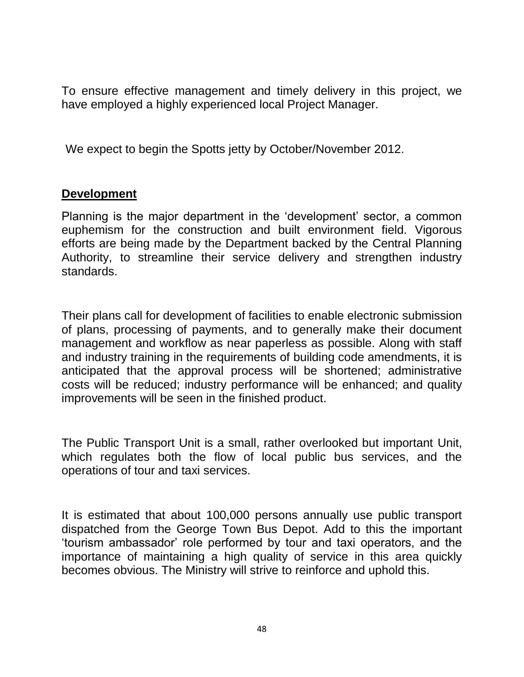To ensure effective management and timely delivery in this project, we have employed a highly experienced local Project Manager.

We expect to begin the Spotts jetty by October/November 2012.

### **Development**

Planning is the major department in the 'development' sector, a common euphemism for the construction and built environment field. Vigorous efforts are being made by the Department backed by the Central Planning Authority, to streamline their service delivery and strengthen industry standards.

Their plans call for development of facilities to enable electronic submission of plans, processing of payments, and to generally make their document management and workflow as near paperless as possible. Along with staff and industry training in the requirements of building code amendments, it is anticipated that the approval process will be shortened; administrative costs will be reduced; industry performance will be enhanced; and quality improvements will be seen in the finished product.

The Public Transport Unit is a small, rather overlooked but important Unit, which regulates both the flow of local public bus services, and the operations of tour and taxi services.

It is estimated that about 100,000 persons annually use public transport dispatched from the George Town Bus Depot. Add to this the important 'tourism ambassador' role performed by tour and taxi operators, and the importance of maintaining a high quality of service in this area quickly becomes obvious. The Ministry will strive to reinforce and uphold this.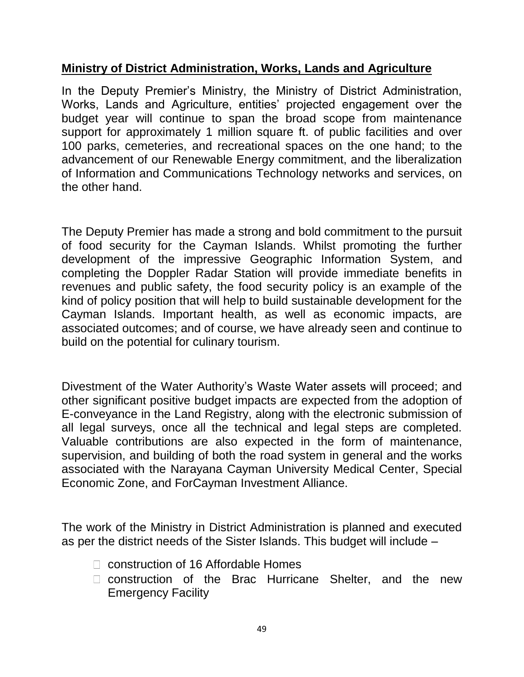## **Ministry of District Administration, Works, Lands and Agriculture**

In the Deputy Premier's Ministry, the Ministry of District Administration, Works, Lands and Agriculture, entities' projected engagement over the budget year will continue to span the broad scope from maintenance support for approximately 1 million square ft. of public facilities and over 100 parks, cemeteries, and recreational spaces on the one hand; to the advancement of our Renewable Energy commitment, and the liberalization of Information and Communications Technology networks and services, on the other hand.

The Deputy Premier has made a strong and bold commitment to the pursuit of food security for the Cayman Islands. Whilst promoting the further development of the impressive Geographic Information System, and completing the Doppler Radar Station will provide immediate benefits in revenues and public safety, the food security policy is an example of the kind of policy position that will help to build sustainable development for the Cayman Islands. Important health, as well as economic impacts, are associated outcomes; and of course, we have already seen and continue to build on the potential for culinary tourism.

Divestment of the Water Authority's Waste Water assets will proceed; and other significant positive budget impacts are expected from the adoption of E-conveyance in the Land Registry, along with the electronic submission of all legal surveys, once all the technical and legal steps are completed. Valuable contributions are also expected in the form of maintenance, supervision, and building of both the road system in general and the works associated with the Narayana Cayman University Medical Center, Special Economic Zone, and ForCayman Investment Alliance.

The work of the Ministry in District Administration is planned and executed as per the district needs of the Sister Islands. This budget will include –

- □ construction of 16 Affordable Homes
- construction of the Brac Hurricane Shelter, and the new Emergency Facility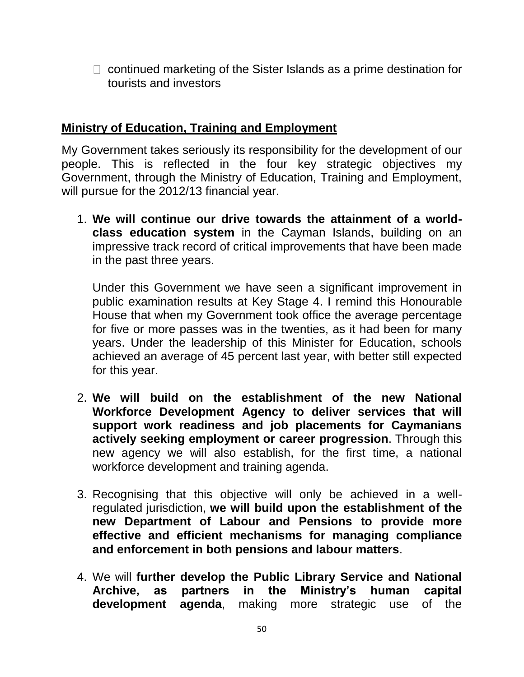$\Box$  continued marketing of the Sister Islands as a prime destination for tourists and investors

### **Ministry of Education, Training and Employment**

My Government takes seriously its responsibility for the development of our people. This is reflected in the four key strategic objectives my Government, through the Ministry of Education, Training and Employment, will pursue for the 2012/13 financial year.

1. **We will continue our drive towards the attainment of a worldclass education system** in the Cayman Islands, building on an impressive track record of critical improvements that have been made in the past three years.

Under this Government we have seen a significant improvement in public examination results at Key Stage 4. I remind this Honourable House that when my Government took office the average percentage for five or more passes was in the twenties, as it had been for many years. Under the leadership of this Minister for Education, schools achieved an average of 45 percent last year, with better still expected for this year.

- 2. **We will build on the establishment of the new National Workforce Development Agency to deliver services that will support work readiness and job placements for Caymanians actively seeking employment or career progression**. Through this new agency we will also establish, for the first time, a national workforce development and training agenda.
- 3. Recognising that this objective will only be achieved in a wellregulated jurisdiction, **we will build upon the establishment of the new Department of Labour and Pensions to provide more effective and efficient mechanisms for managing compliance and enforcement in both pensions and labour matters**.
- 4. We will **further develop the Public Library Service and National Archive, as partners in the Ministry's human capital development agenda**, making more strategic use of the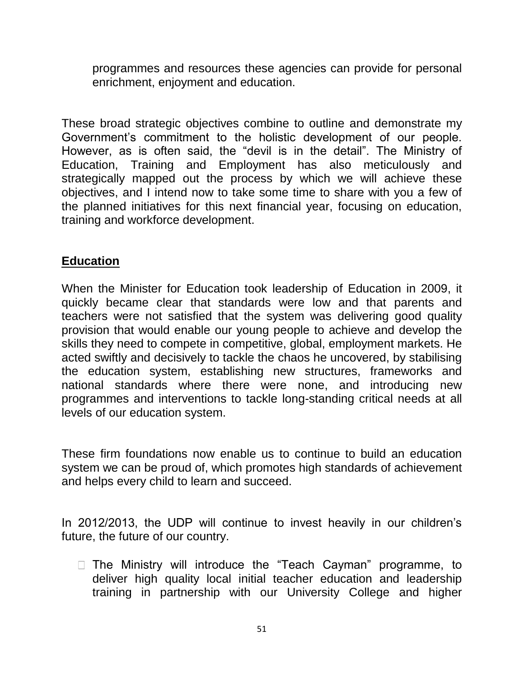programmes and resources these agencies can provide for personal enrichment, enjoyment and education.

These broad strategic objectives combine to outline and demonstrate my Government's commitment to the holistic development of our people. However, as is often said, the "devil is in the detail". The Ministry of Education, Training and Employment has also meticulously and strategically mapped out the process by which we will achieve these objectives, and I intend now to take some time to share with you a few of the planned initiatives for this next financial year, focusing on education, training and workforce development.

## **Education**

When the Minister for Education took leadership of Education in 2009, it quickly became clear that standards were low and that parents and teachers were not satisfied that the system was delivering good quality provision that would enable our young people to achieve and develop the skills they need to compete in competitive, global, employment markets. He acted swiftly and decisively to tackle the chaos he uncovered, by stabilising the education system, establishing new structures, frameworks and national standards where there were none, and introducing new programmes and interventions to tackle long-standing critical needs at all levels of our education system.

These firm foundations now enable us to continue to build an education system we can be proud of, which promotes high standards of achievement and helps every child to learn and succeed.

In 2012/2013, the UDP will continue to invest heavily in our children's future, the future of our country.

 $\Box$  The Ministry will introduce the "Teach Cayman" programme, to deliver high quality local initial teacher education and leadership training in partnership with our University College and higher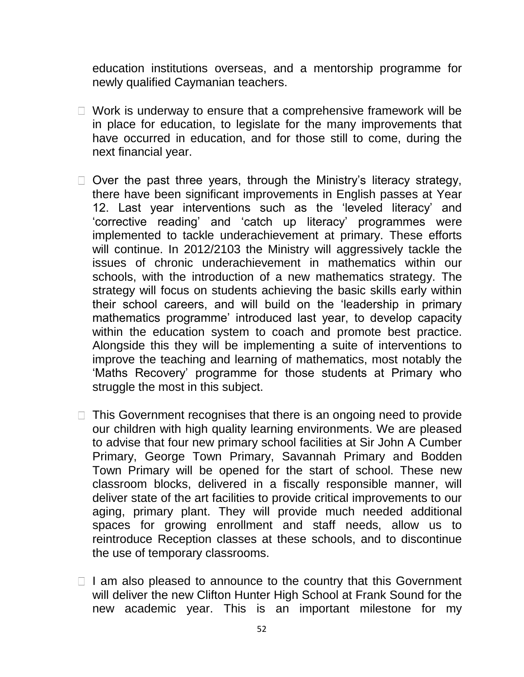education institutions overseas, and a mentorship programme for newly qualified Caymanian teachers.

- $\Box$  Work is underway to ensure that a comprehensive framework will be in place for education, to legislate for the many improvements that have occurred in education, and for those still to come, during the next financial year.
- $\Box$  Over the past three years, through the Ministry's literacy strategy, there have been significant improvements in English passes at Year 12. Last year interventions such as the 'leveled literacy' and 'corrective reading' and 'catch up literacy' programmes were implemented to tackle underachievement at primary. These efforts will continue. In 2012/2103 the Ministry will aggressively tackle the issues of chronic underachievement in mathematics within our schools, with the introduction of a new mathematics strategy. The strategy will focus on students achieving the basic skills early within their school careers, and will build on the 'leadership in primary mathematics programme' introduced last year, to develop capacity within the education system to coach and promote best practice. Alongside this they will be implementing a suite of interventions to improve the teaching and learning of mathematics, most notably the 'Maths Recovery' programme for those students at Primary who struggle the most in this subject.
- $\Box$  This Government recognises that there is an ongoing need to provide our children with high quality learning environments. We are pleased to advise that four new primary school facilities at Sir John A Cumber Primary, George Town Primary, Savannah Primary and Bodden Town Primary will be opened for the start of school. These new classroom blocks, delivered in a fiscally responsible manner, will deliver state of the art facilities to provide critical improvements to our aging, primary plant. They will provide much needed additional spaces for growing enrollment and staff needs, allow us to reintroduce Reception classes at these schools, and to discontinue the use of temporary classrooms.
- $\Box$  I am also pleased to announce to the country that this Government will deliver the new Clifton Hunter High School at Frank Sound for the new academic year. This is an important milestone for my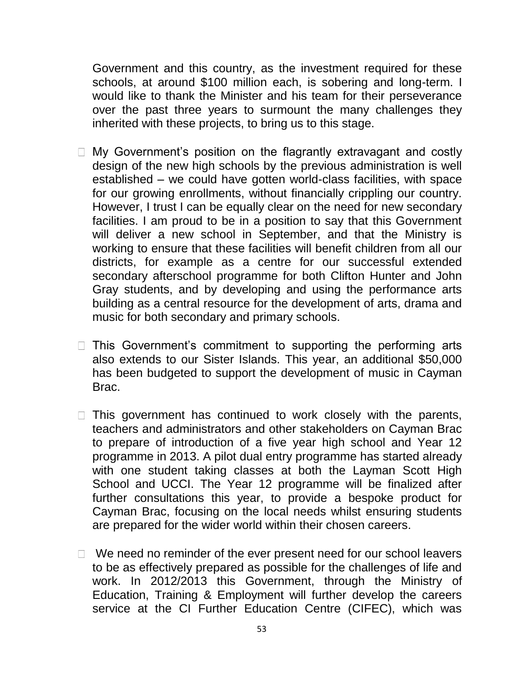Government and this country, as the investment required for these schools, at around \$100 million each, is sobering and long-term. I would like to thank the Minister and his team for their perseverance over the past three years to surmount the many challenges they inherited with these projects, to bring us to this stage.

- □ My Government's position on the flagrantly extravagant and costly design of the new high schools by the previous administration is well established – we could have gotten world-class facilities, with space for our growing enrollments, without financially crippling our country. However, I trust I can be equally clear on the need for new secondary facilities. I am proud to be in a position to say that this Government will deliver a new school in September, and that the Ministry is working to ensure that these facilities will benefit children from all our districts, for example as a centre for our successful extended secondary afterschool programme for both Clifton Hunter and John Gray students, and by developing and using the performance arts building as a central resource for the development of arts, drama and music for both secondary and primary schools.
- $\Box$  This Government's commitment to supporting the performing arts also extends to our Sister Islands. This year, an additional \$50,000 has been budgeted to support the development of music in Cayman Brac.
- $\Box$  This government has continued to work closely with the parents, teachers and administrators and other stakeholders on Cayman Brac to prepare of introduction of a five year high school and Year 12 programme in 2013. A pilot dual entry programme has started already with one student taking classes at both the Layman Scott High School and UCCI. The Year 12 programme will be finalized after further consultations this year, to provide a bespoke product for Cayman Brac, focusing on the local needs whilst ensuring students are prepared for the wider world within their chosen careers.
- $\Box$  We need no reminder of the ever present need for our school leavers to be as effectively prepared as possible for the challenges of life and work. In 2012/2013 this Government, through the Ministry of Education, Training & Employment will further develop the careers service at the CI Further Education Centre (CIFEC), which was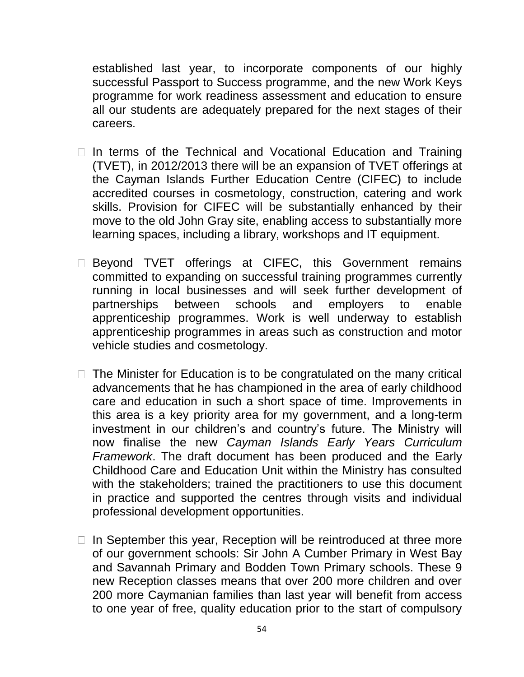established last year, to incorporate components of our highly successful Passport to Success programme, and the new Work Keys programme for work readiness assessment and education to ensure all our students are adequately prepared for the next stages of their careers.

- $\Box$  In terms of the Technical and Vocational Education and Training (TVET), in 2012/2013 there will be an expansion of TVET offerings at the Cayman Islands Further Education Centre (CIFEC) to include accredited courses in cosmetology, construction, catering and work skills. Provision for CIFEC will be substantially enhanced by their move to the old John Gray site, enabling access to substantially more learning spaces, including a library, workshops and IT equipment.
- □ Beyond TVET offerings at CIFEC, this Government remains committed to expanding on successful training programmes currently running in local businesses and will seek further development of partnerships between schools and employers to enable apprenticeship programmes. Work is well underway to establish apprenticeship programmes in areas such as construction and motor vehicle studies and cosmetology.
- $\Box$  The Minister for Education is to be congratulated on the many critical advancements that he has championed in the area of early childhood care and education in such a short space of time. Improvements in this area is a key priority area for my government, and a long-term investment in our children's and country's future. The Ministry will now finalise the new *Cayman Islands Early Years Curriculum Framework*. The draft document has been produced and the Early Childhood Care and Education Unit within the Ministry has consulted with the stakeholders; trained the practitioners to use this document in practice and supported the centres through visits and individual professional development opportunities.
- $\Box$  In September this year, Reception will be reintroduced at three more of our government schools: Sir John A Cumber Primary in West Bay and Savannah Primary and Bodden Town Primary schools. These 9 new Reception classes means that over 200 more children and over 200 more Caymanian families than last year will benefit from access to one year of free, quality education prior to the start of compulsory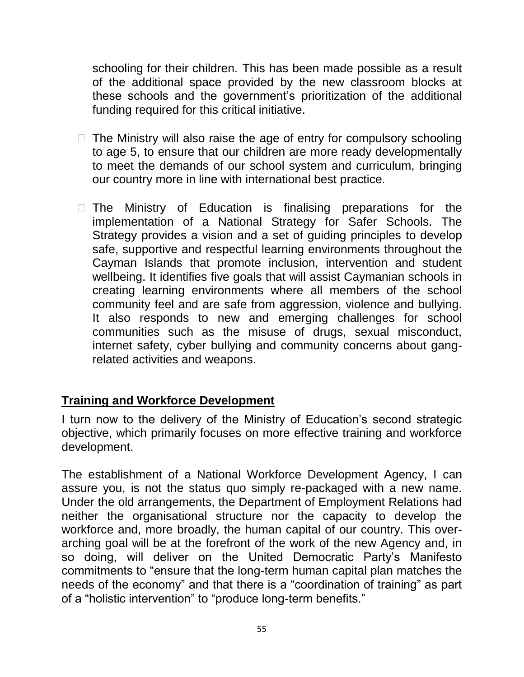schooling for their children. This has been made possible as a result of the additional space provided by the new classroom blocks at these schools and the government's prioritization of the additional funding required for this critical initiative.

- $\Box$  The Ministry will also raise the age of entry for compulsory schooling to age 5, to ensure that our children are more ready developmentally to meet the demands of our school system and curriculum, bringing our country more in line with international best practice.
- $\Box$  The Ministry of Education is finalising preparations for the implementation of a National Strategy for Safer Schools. The Strategy provides a vision and a set of guiding principles to develop safe, supportive and respectful learning environments throughout the Cayman Islands that promote inclusion, intervention and student wellbeing. It identifies five goals that will assist Caymanian schools in creating learning environments where all members of the school community feel and are safe from aggression, violence and bullying. It also responds to new and emerging challenges for school communities such as the misuse of drugs, sexual misconduct, internet safety, cyber bullying and community concerns about gangrelated activities and weapons.

# **Training and Workforce Development**

I turn now to the delivery of the Ministry of Education's second strategic objective, which primarily focuses on more effective training and workforce development.

The establishment of a National Workforce Development Agency, I can assure you, is not the status quo simply re-packaged with a new name. Under the old arrangements, the Department of Employment Relations had neither the organisational structure nor the capacity to develop the workforce and, more broadly, the human capital of our country. This overarching goal will be at the forefront of the work of the new Agency and, in so doing, will deliver on the United Democratic Party's Manifesto commitments to "ensure that the long-term human capital plan matches the needs of the economy" and that there is a "coordination of training" as part of a "holistic intervention" to "produce long-term benefits."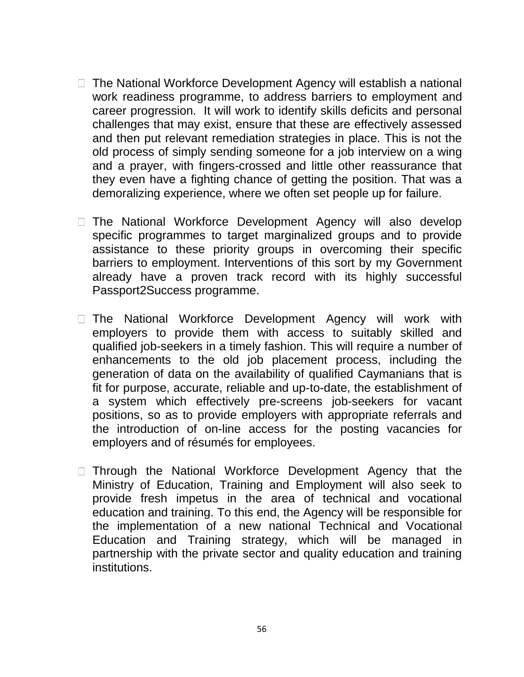- $\Box$  The National Workforce Development Agency will establish a national work readiness programme, to address barriers to employment and career progression. It will work to identify skills deficits and personal challenges that may exist, ensure that these are effectively assessed and then put relevant remediation strategies in place. This is not the old process of simply sending someone for a job interview on a wing and a prayer, with fingers-crossed and little other reassurance that they even have a fighting chance of getting the position. That was a demoralizing experience, where we often set people up for failure.
- The National Workforce Development Agency will also develop specific programmes to target marginalized groups and to provide assistance to these priority groups in overcoming their specific barriers to employment. Interventions of this sort by my Government already have a proven track record with its highly successful Passport2Success programme.
- □ The National Workforce Development Agency will work with employers to provide them with access to suitably skilled and qualified job-seekers in a timely fashion. This will require a number of enhancements to the old job placement process, including the generation of data on the availability of qualified Caymanians that is fit for purpose, accurate, reliable and up-to-date, the establishment of a system which effectively pre-screens job-seekers for vacant positions, so as to provide employers with appropriate referrals and the introduction of on-line access for the posting vacancies for employers and of résumés for employees.
- Through the National Workforce Development Agency that the Ministry of Education, Training and Employment will also seek to provide fresh impetus in the area of technical and vocational education and training. To this end, the Agency will be responsible for the implementation of a new national Technical and Vocational Education and Training strategy, which will be managed in partnership with the private sector and quality education and training institutions.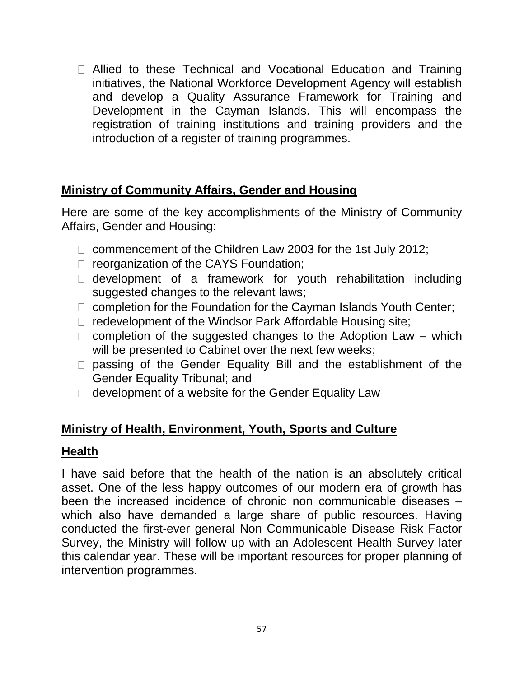Allied to these Technical and Vocational Education and Training initiatives, the National Workforce Development Agency will establish and develop a Quality Assurance Framework for Training and Development in the Cayman Islands. This will encompass the registration of training institutions and training providers and the introduction of a register of training programmes.

# **Ministry of Community Affairs, Gender and Housing**

Here are some of the key accomplishments of the Ministry of Community Affairs, Gender and Housing:

- $\Box$  commencement of the Children Law 2003 for the 1st July 2012;
- □ reorganization of the CAYS Foundation;
- $\Box$  development of a framework for youth rehabilitation including suggested changes to the relevant laws;
- $\Box$  completion for the Foundation for the Cayman Islands Youth Center;
- $\Box$  redevelopment of the Windsor Park Affordable Housing site;
- $\Box$  completion of the suggested changes to the Adoption Law which will be presented to Cabinet over the next few weeks;
- □ passing of the Gender Equality Bill and the establishment of the Gender Equality Tribunal; and
- $\Box$  development of a website for the Gender Equality Law

# **Ministry of Health, Environment, Youth, Sports and Culture**

### **Health**

I have said before that the health of the nation is an absolutely critical asset. One of the less happy outcomes of our modern era of growth has been the increased incidence of chronic non communicable diseases – which also have demanded a large share of public resources. Having conducted the first-ever general Non Communicable Disease Risk Factor Survey, the Ministry will follow up with an Adolescent Health Survey later this calendar year. These will be important resources for proper planning of intervention programmes.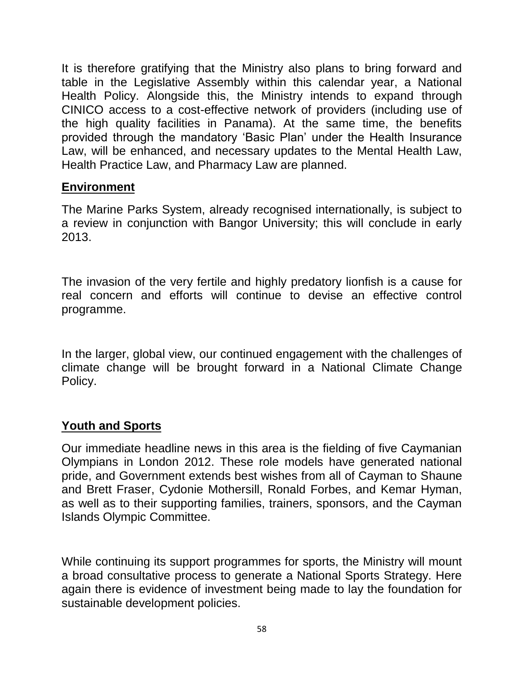It is therefore gratifying that the Ministry also plans to bring forward and table in the Legislative Assembly within this calendar year, a National Health Policy. Alongside this, the Ministry intends to expand through CINICO access to a cost-effective network of providers (including use of the high quality facilities in Panama). At the same time, the benefits provided through the mandatory 'Basic Plan' under the Health Insurance Law, will be enhanced, and necessary updates to the Mental Health Law, Health Practice Law, and Pharmacy Law are planned.

## **Environment**

The Marine Parks System, already recognised internationally, is subject to a review in conjunction with Bangor University; this will conclude in early 2013.

The invasion of the very fertile and highly predatory lionfish is a cause for real concern and efforts will continue to devise an effective control programme.

In the larger, global view, our continued engagement with the challenges of climate change will be brought forward in a National Climate Change Policy.

### **Youth and Sports**

Our immediate headline news in this area is the fielding of five Caymanian Olympians in London 2012. These role models have generated national pride, and Government extends best wishes from all of Cayman to Shaune and Brett Fraser, Cydonie Mothersill, Ronald Forbes, and Kemar Hyman, as well as to their supporting families, trainers, sponsors, and the Cayman Islands Olympic Committee.

While continuing its support programmes for sports, the Ministry will mount a broad consultative process to generate a National Sports Strategy. Here again there is evidence of investment being made to lay the foundation for sustainable development policies.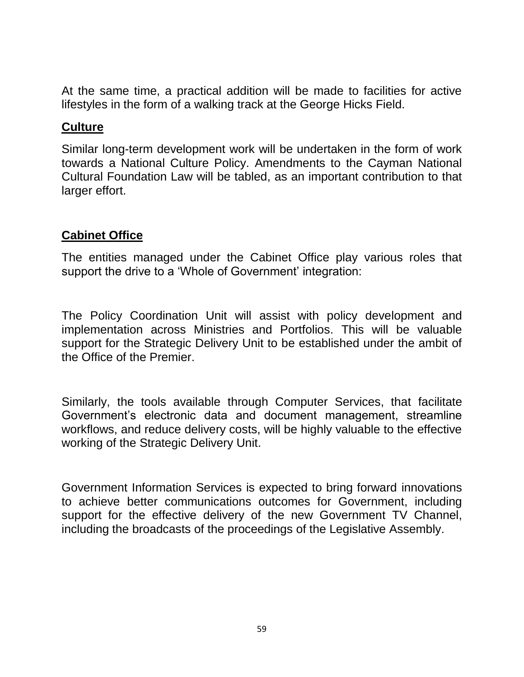At the same time, a practical addition will be made to facilities for active lifestyles in the form of a walking track at the George Hicks Field.

#### **Culture**

Similar long-term development work will be undertaken in the form of work towards a National Culture Policy. Amendments to the Cayman National Cultural Foundation Law will be tabled, as an important contribution to that larger effort.

#### **Cabinet Office**

The entities managed under the Cabinet Office play various roles that support the drive to a 'Whole of Government' integration:

The Policy Coordination Unit will assist with policy development and implementation across Ministries and Portfolios. This will be valuable support for the Strategic Delivery Unit to be established under the ambit of the Office of the Premier.

Similarly, the tools available through Computer Services, that facilitate Government's electronic data and document management, streamline workflows, and reduce delivery costs, will be highly valuable to the effective working of the Strategic Delivery Unit.

Government Information Services is expected to bring forward innovations to achieve better communications outcomes for Government, including support for the effective delivery of the new Government TV Channel, including the broadcasts of the proceedings of the Legislative Assembly.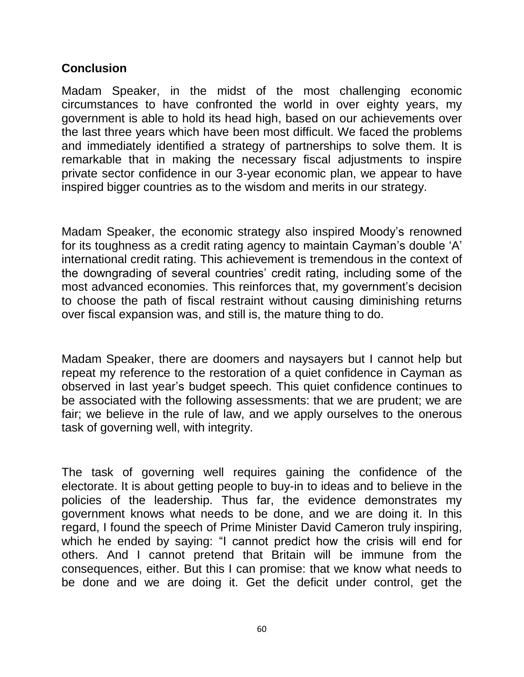### **Conclusion**

Madam Speaker, in the midst of the most challenging economic circumstances to have confronted the world in over eighty years, my government is able to hold its head high, based on our achievements over the last three years which have been most difficult. We faced the problems and immediately identified a strategy of partnerships to solve them. It is remarkable that in making the necessary fiscal adjustments to inspire private sector confidence in our 3-year economic plan, we appear to have inspired bigger countries as to the wisdom and merits in our strategy.

Madam Speaker, the economic strategy also inspired Moody's renowned for its toughness as a credit rating agency to maintain Cayman's double 'A' international credit rating. This achievement is tremendous in the context of the downgrading of several countries' credit rating, including some of the most advanced economies. This reinforces that, my government's decision to choose the path of fiscal restraint without causing diminishing returns over fiscal expansion was, and still is, the mature thing to do.

Madam Speaker, there are doomers and naysayers but I cannot help but repeat my reference to the restoration of a quiet confidence in Cayman as observed in last year's budget speech. This quiet confidence continues to be associated with the following assessments: that we are prudent; we are fair; we believe in the rule of law, and we apply ourselves to the onerous task of governing well, with integrity.

The task of governing well requires gaining the confidence of the electorate. It is about getting people to buy-in to ideas and to believe in the policies of the leadership. Thus far, the evidence demonstrates my government knows what needs to be done, and we are doing it. In this regard, I found the speech of Prime Minister David Cameron truly inspiring, which he ended by saying: "I cannot predict how the crisis will end for others. And I cannot pretend that Britain will be immune from the consequences, either. But this I can promise: that we know what needs to be done and we are doing it. Get the deficit under control, get the